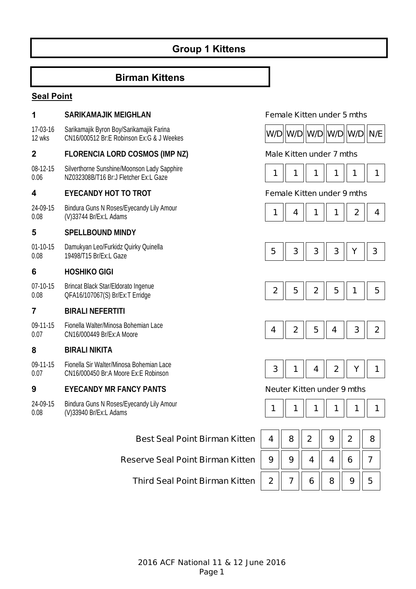# **Group 1 Kittens**

### **Birman Kittens**

#### **Seal Point**

#### **1 SARIKAMAJIK MEIGHLAN Female Kitten under 5 mths** 17-03-16 12 wks Sarikamajik Byron Boy/Sarikamajik Farina Sankamajik Byron Boy/Sankamajik Fanna<br>CN16/000512 Br:E Robinson Ex:G & J Weekes **WALLER WID W/D W/D W/D W/D W/D W/D 2 FLORENCIA LORD COSMOS (IMP NZ) Male Kitten under 7 mths** 08-12-15 0.06 Silverthorne Sunshine/Moonson Lady Sapphire Silvertrighte Surishme/Moonson Eady Sapprine<br>NZ032308B/T16 Br:J Fletcher Ex:L Gaze **1 1 1 1 1 1 1 1 1 1 1 1 1 1 1 1 4 EYECANDY HOT TO TROT Female Kitten under 9 mths** 24-09-15 0.08 Bindura Guns N Roses/Eyecandy Lily Amour Bindura Guns in Roses/Eyecandy Lily Amour<br>(V)33744 Br/Ex:L Adams **1 4 | 1 | 1 | 1 | 1 | 2 | 4 5 SPELLBOUND MINDY**  01-10-15 0.08 Damukyan Leo/Furkidz Quirky Quinella 19498/T15 Br/Ex:L Gaze **5 3 3 3 Y 3 6 HOSHIKO GIGI**  07-10-15 0.08 Brincat Black Star/Eldorato Ingenue **Drift Calcular Star Pack Star Product OFA16/107067(S) Br/Ex:T Erridge** <br>QFA16/107067(S) Br/Ex:T Erridge **2 2 2 2 2 2 1 5 1 5 7 BIRALI NEFERTITI**  09-11-15 0.07 Fionella Walter/Minosa Bohemian Lace Profieria Walter/Williosa Dofferman Lace<br>CN16/000449 Br/Ex:A Moore **8 BIRALI NIKITA**  09-11-15 0.07 Fionella Sir Walter/Minosa Bohemian Lace Profielia Sir Walter/Williosa Borieffilati Lace<br>CN16/000450 Br:A Moore Ex:E Robinson **3 2 | 3 | 1 | 4 | 2 | Y | 1 9 EYECANDY MR FANCY PANTS Neuter Kitten under 9 mths** 24-09-15 0.08 Bindura Guns N Roses/Eyecandy Lily Amour (V)33940 Br/Ex:L Adams **1 1 1 1 1 1 Best Seal Point Birman Kitten | 4 || 8 || 2 || 9 || 2 || 8 Reserve Seal Point Birman Kitten | 9 || 9 || 4 || 4 || 6 || 7 Third Seal Point Birman Kitten | 2 || 7 || 6 || 8 || 9 || 5**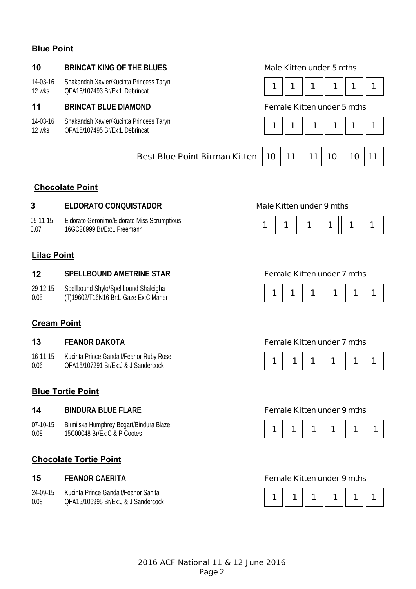### **Blue Point**

#### **10 BRINCAT KING OF THE BLUES Male Kitten under 5 mths**

14-03-16 12 wks Shakandah Xavier/Kucinta Princess Taryn

#### **11 BRINCAT BLUE DIAMOND Female Kitten under 5 mths**

14-03-16 Shakandah Xavier/Kucinta Princess Taryn

12 wks





# **Best Blue Point Birman Kitten | 10 || 11 || 11 || 10 || 10 || 11**

### **Chocolate Point**

### **3 ELDORATO CONQUISTADOR Male Kitten under 9 mths**

05-11-15 0.07 Eldorato Geronimo/Eldorato Miss Scrumptious Lidorato Geronimio/Lidorato Miss Scrumptious<br>16GC28999 Br/Ex:L Freemann

# **Lilac Point**

#### **12 SPELLBOUND AMETRINE STAR Female Kitten under 7 mths**

29-12-15 0.05 Spellbound Shylo/Spellbound Shaleigha



### **Cream Point**

16-11-15 0.06 Kucinta Prince Gandalf/Feanor Ruby Rose

### **Blue Tortie Point**

07-10-15 0.08 Birmilska Humphrey Bogart/Bindura Blaze

### **Chocolate Tortie Point**

| $24-09-15$ | Kucinta Prince Gandalf/Feanor Sanita |
|------------|--------------------------------------|
| 0.08       | QFA15/106995 Br/Ex: J & J Sandercock |

#### **13 FEANOR DAKOTA Female Kitten under 7 mths**



#### **14 BINDURA BLUE FLARE Female Kitten under 9 mths**



#### **15 FEANOR CAERITA Female Kitten under 9 mths**

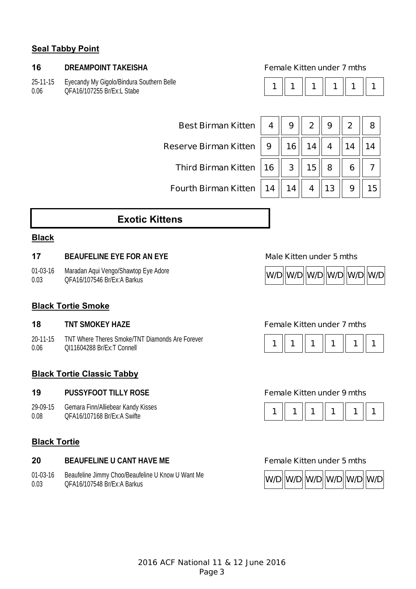### **Seal Tabby Point**

#### **16 DREAMPOINT TAKEISHA Female Kitten under 7 mths**

25-11-15 0.06 Eyecandy My Gigolo/Bindura Southern Belle QFA16/107255 Br/Ex:L Stabe **1 1 1 1 1 1** 

|--|--|--|--|--|

| Best Birman Kitten   4                                                          | $9 \parallel 2$ |  |  |
|---------------------------------------------------------------------------------|-----------------|--|--|
| Reserve Birman Kitten $\parallel$ 9 $\parallel$ 16 $\parallel$ 14 $\parallel$ 4 |                 |  |  |
| Third Birman Kitten $\ $ 16 $\ $ 3 $\ $ 15 $\ $ 8                               |                 |  |  |
| Fourth Birman Kitten $\ $ 14 $\ $ 14 $\ $ 4 $\ $ 13                             |                 |  |  |

| Best Birman Kitten   4    9    2    9    2    8                                                                          |  |  |  |
|--------------------------------------------------------------------------------------------------------------------------|--|--|--|
| eserve Birman Kitten $\parallel$ 9 $\parallel$ 16 $\parallel$ 14 $\parallel$ 4 $\parallel$ 14 $\parallel$ 14             |  |  |  |
| Third Birman Kitten $\ $ 16 $\ $ 3 $\ $ 15 $\ $ 8 $\ $ 6 $\ $ 7                                                          |  |  |  |
| Fourth Birman Kitten $\parallel$ 14 $\parallel$ 14 $\parallel$ 4 $\parallel$ 13 $\parallel$ 9 $\parallel$ 15 $\parallel$ |  |  |  |

# **Exotic Kittens**

#### **Black**

#### **17 BEAUFELINE EYE FOR AN EYE Male Kitten under 5 mths**

01-03-16 0.03 Maradan Aqui Vengo/Shawtop Eye Adore

### **Black Tortie Smoke**

20-11-15 0.06 TNT Where Theres Smoke/TNT Diamonds Are Forever TNT Write Theres Shioke/TNT Diamonds Are Forever<br>  $\begin{bmatrix} 1 & 1 & 1 \\ 0 & 1 & 1 \end{bmatrix}$  1  $\begin{bmatrix} 1 & 1 & 1 \\ 1 & 1 & 1 \end{bmatrix}$  1  $\begin{bmatrix} 1 & 1 & 1 \\ 1 & 1 & 1 \end{bmatrix}$  1  $\begin{bmatrix} 1 & 1 & 1 \\ 1 & 1 & 1 \end{bmatrix}$  1  $\begin{bmatrix} 1 & 1 & 1 \\ 1 & 1 & 1 \end{bmatrix}$  1  $\$ 

### **Black Tortie Classic Tabby**

#### **19 PUSSYFOOT TILLY ROSE Female Kitten under 9 mths**

29-09-15 0.08 Gemara Finn/Alliebear Kandy Kisses

#### **Black Tortie**

#### **20 BEAUFELINE U CANT HAVE ME Female Kitten under 5 mths**

01-03-16 0.03 Beaufeline Jimmy Choo/Beaufeline U Know U Want Me Deadle with the Unitity Chooperation in the United With With Milliam March 2016 **W/D W/D W/D W/D W/D W/D W/D W/D** 



#### **18 TNT SMOKEY HAZE Female Kitten under 7 mths**





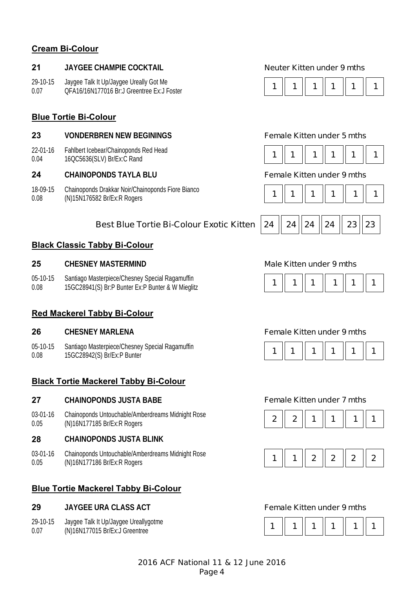### **Cream Bi-Colour**

#### **21 JAYGEE CHAMPIE COCKTAIL Neuter Kitten under 9 mths**

29-10-15 0.07 Jaygee Talk It Up/Jaygee Ureally Got Me

#### **Blue Tortie Bi-Colour**

#### **23 VONDERBREN NEW BEGININGS Female Kitten under 5 mths**

22-01-16 0.04 Fahlbert Icebear/Chainoponds Red Head 16QC5636(SLV) Br/Ex:C Rand

#### **24 CHAINOPONDS TAYLA BLU Female Kitten under 9 mths**

18-09-15 0.08 Chainoponds Drakkar Noir/Chainoponds Fiore Bianco (N)15N176582 Br/Ex:R Rogers **1 1 1 1 1 1** 

### **Best Blue Tortie Bi-Colour Exotic Kitten 24 24 24 24 24 23 23**

#### **Black Classic Tabby Bi-Colour**

#### **25 CHESNEY MASTERMIND Male Kitten under 9 mths**

05-10-15 0.08 Santiago Masterpiece/Chesney Special Ragamuffin Sanuago wasterprece/Chesney Special Ragamumi<br>15GC28941(S) Br:P Bunter Ex:P Bunter & W Mieglitz **1 1 1 1 1 1 1 1 1 1 1 1 1 1** 

#### **Red Mackerel Tabby Bi-Colour**

05-10-15 0.08 Santiago Masterpiece/Chesney Special Ragamuffin 15GC28942(S) Br/Ex:P Bunter **1 1 1 1 1 1** 

### **Black Tortie Mackerel Tabby Bi-Colour**

#### **27 CHAINOPONDS JUSTA BABE Female Kitten under 7 mths**

03-01-16 0.05 Chainoponds Untouchable/Amberdreams Midnight Rose Chambponus ontouchable/Amberureams Miunight Rose<br>(N)16N177185 Br/Ex:R Rogers **2** 2 **2 1 2 1 1 1 1 1 1** 

#### **28 CHAINOPONDS JUSTA BLINK**

03-01-16 0.05 Chainoponds Untouchable/Amberdreams Midnight Rose Chambponds Ontouchable/Amberdreams Midnight Rose<br>(N)16N177186 Br/Ex:R Rogers **1 1 | 1 | 2 | 2 | 2 | 2** 

### **Blue Tortie Mackerel Tabby Bi-Colour**

#### **29 JAYGEE URA CLASS ACT Female Kitten under 9 mths**

- 29-10-15 Jaygee Talk It Up/Jaygee Ureallygotme
- 0.07



|--|--|--|--|--|--|







#### **26 CHESNEY MARLENA Female Kitten under 9 mths**







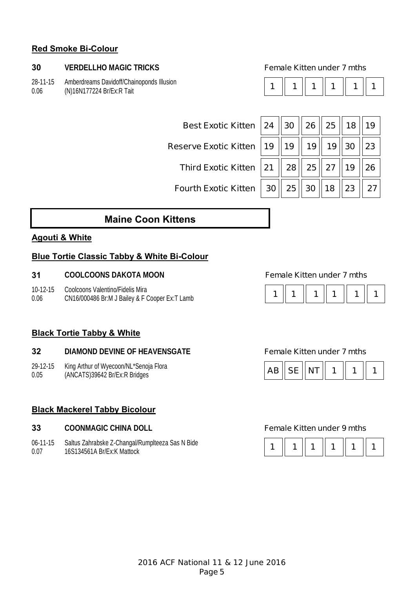### **Red Smoke Bi-Colour**

#### **30 VERDELLHO MAGIC TRICKS Female Kitten under 7 mths**

28-11-15 0.06 Amberdreams Davidoff/Chainoponds Illusion (N)16N177224 Br/Ex:R Tait **1 1 1 1 1 1** 

|--|--|--|--|--|--|

| Best Exotic Kitten 24 30 26 25 318 39                                                                          |  |  |  |
|----------------------------------------------------------------------------------------------------------------|--|--|--|
| Reserve Exotic Kitten $\mid$ 19 $\parallel$ 19 $\parallel$ 19 $\parallel$ 19 $\parallel$ 30 $\parallel$ 23     |  |  |  |
| Third Exotic Kitten 21   28   25   27   19   26                                                                |  |  |  |
| Fourth Exotic Kitten $\parallel$ 30 $\parallel$ 25 $\parallel$ 30 $\parallel$ 18 $\parallel$ 23 $\parallel$ 27 |  |  |  |

# **Maine Coon Kittens**

### **Agouti & White**

### **Blue Tortie Classic Tabby & White Bi-Colour**

#### **31 COOLCOONS DAKOTA MOON Female Kitten under 7 mths**

10-12-15 0.06 Coolcoons Valentino/Fidelis Mira Coolcoolis valentifio/Figelis Milia<br>CN16/000486 Br:M J Bailey & F Cooper Ex:T Lamb **1** 1 **1** 1 **1** 1 **1** 1 **1** 1 **1** 1



### **Black Tortie Tabby & White**

#### **32 DIAMOND DEVINE OF HEAVENSGATE Female Kitten under 7 mths**

29-12-15 King Arthur of Wyecoon/NL\*Senoja Flora

0.05

### **Black Mackerel Tabby Bicolour**

- **33 COONMAGIC CHINA DOLL Female Kitten under 9 mths**
- 06-11-15 0.07 Saltus Zahrabske Z-Changal/Rumplteeza Sas N Bide 16S134561A Br/Ex:K Mattock **1 1 1 1 1 1**



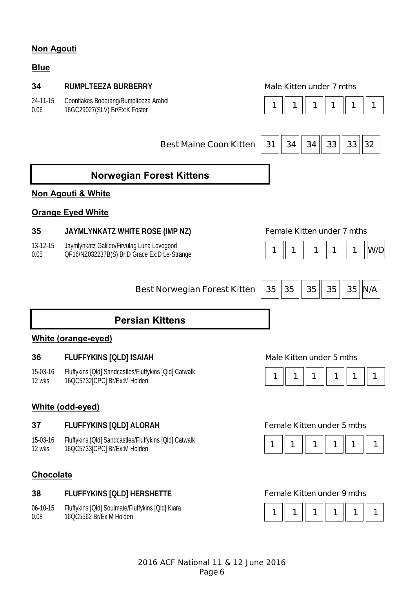## **Non Agouti**

### **Blue**

#### **34 RUMPLTEEZA BURBERRY Male Kitten under 7 mths**

24-11-15 Coonflakes Booerang/Rumplteeza Arabel Coonilakes Booerang/Rumplieeza Arabei<br>16GC29027(SLV) Br/Ex:K Foster **1 1 1 1 1 1 1 1 1 1 1 1 1 1 1 1 1 1** 1 1 1 1 1 1 1

0.06



# **Norwegian Forest Kittens**

### **Non Agouti & White**

### **Orange Eyed White**

### **35 JAYMLYNKATZ WHITE ROSE (IMP NZ) Female Kitten under 7 mths**

13-12-15 0.05 Jaymlynkatz Galileo/Firvulag Luna Lovegood Daymiynkaiz Galileo/Filivulay Luria Lovegood<br>QF16/NZ032237B(S) Br:D Grace Ex:D Le-Strange **1 1 | 1 | 1 | 1 | 1 | 1 | 1 | W/D** 



| Best Norwegian Forest Kitten $\begin{array}{ c c c c c }\hline \text{35} & \text{35} & \text{35} & \text{35} & \text{N/A} \end{array}$ |  |  |  |  |
|----------------------------------------------------------------------------------------------------------------------------------------|--|--|--|--|
|                                                                                                                                        |  |  |  |  |

# **Persian Kittens**

### **White (orange-eyed)**

### **36 FLUFFYKINS [QLD] ISAIAH Male Kitten under 5 mths**

15-03-16 12 wks Fluffykins [Qld] Sandcastles/Fluffykins [Qld] Catwalk 16QC5732[CPC] Br/Ex:M Holden **1 1 1 1 1 1** 



### **White (odd-eyed)**

### **37 FLUFFYKINS [QLD] ALORAH Female Kitten under 5 mths**

15-03-16 12 wks Fluffykins [Qld] Sandcastles/Fluffykins [Qld] Catwalk 16QC5733[CPC] Br/Ex:M Holden **1 1 1 1 1 1** 

### **Chocolate**

### **38 FLUFFYKINS [QLD] HERSHETTE Female Kitten under 9 mths**

06-10-15 0.08 Fluffykins [Qld] Soulmate/Fluffykins [Qld] Kiara



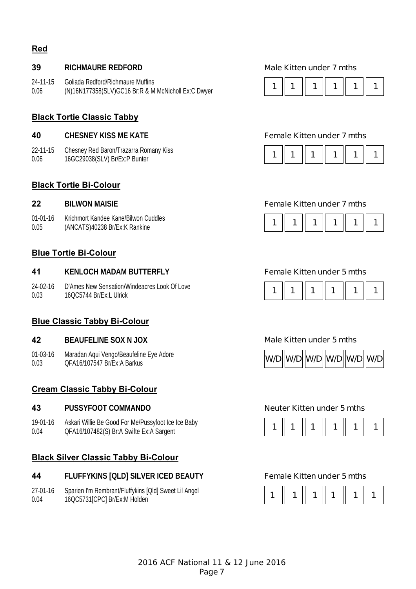### **Red**

#### **39 RICHMAURE REDFORD Male Kitten under 7 mths**

24-11-15 0.06 Goliada Redford/Richmaure Muffins (N)16N177358(SLV)GC16 Br:R & M McNicholl Ex:C Dwyer **1 1 1 1 1 1** 

#### **Black Tortie Classic Tabby**

#### **40 CHESNEY KISS ME KATE Female Kitten under 7 mths**

22-11-15 0.06 Chesney Red Baron/Trazarra Romany Kiss

#### **Black Tortie Bi-Colour**

01-01-16 0.05 Krichmort Kandee Kane/Bilwon Cuddles

#### **Blue Tortie Bi-Colour**

#### **41 KENLOCH MADAM BUTTERFLY Female Kitten under 5 mths**

24-02-16 0.03 D'Ames New Sensation/Windeacres Look Of Love 16QC5744 Br/Ex:L Ulrick **1 1 1 1 1 1** 

### **Blue Classic Tabby Bi-Colour**

#### **42 BEAUFELINE SOX N JOX Male Kitten under 5 mths**

01-03-16 0.03 Maradan Aqui Vengo/Beaufeline Eye Adore

### **Cream Classic Tabby Bi-Colour**

#### **43 PUSSYFOOT COMMANDO Neuter Kitten under 5 mths**

19-01-16 0.04 Askari Willie Be Good For Me/Pussyfoot Ice Ice Baby QFA16/107482(S) Br:A Swifte Ex:A Sargent **1 1 1 1 1 1** 

### **Black Silver Classic Tabby Bi-Colour**

#### **44 FLUFFYKINS [QLD] SILVER ICED BEAUTY Female Kitten under 5 mths**

27-01-16 0.04 Sparien I'm Rembrant/Fluffykins [Qld] Sweet Lil Angel 16QC5731[CPC] Br/Ex:M Holden **1 1 1 1 1 1** 





### **22 BILWON MAISIE Female Kitten under 7 mths**









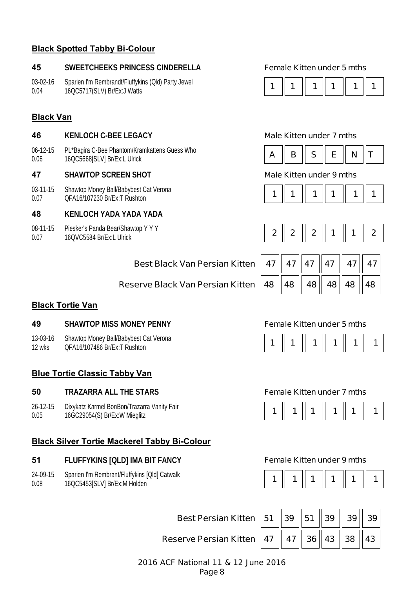### **Black Spotted Tabby Bi-Colour**

#### **45 SWEETCHEEKS PRINCESS CINDERELLA Female Kitten under 5 mths**

03-02-16 0.04 Sparien I'm Rembrandt/Fluffykins (Qld) Party Jewel 16QC5717(SLV) Br/Ex:J Watts **1 1 1 1 1 1** 

### **Black Van**

#### **46 KENLOCH C-BEE LEGACY Male Kitten under 7 mths**

06-12-15 0.06 PL\*Bagira C-Bee Phantom/Kramkattens Guess Who PL Bagira C-bee Phantoni/Manikatiens Guess who<br>16QC5668[SLV] Br/Ex:L Ulrick **A Report of A Report A Report A Report A S**  $\parallel$  **E**  $\parallel$  **N**  $\parallel$ **T** 

#### **47 SHAWTOP SCREEN SHOT Male Kitten under 9 mths**

03-11-15 0.07 Shawtop Money Ball/Babybest Cat Verona

#### **48 KENLOCH YADA YADA YADA**

08-11-15 0.07 Piesker's Panda Bear/Shawtop Y Y Y









| Best Black Van Persian Kitten   47    47    47    47    47    47    47 |  |  |  |  |  |  |
|------------------------------------------------------------------------|--|--|--|--|--|--|
|------------------------------------------------------------------------|--|--|--|--|--|--|

| 47  47  47  47  47  47  47                                                                            |  |  |
|-------------------------------------------------------------------------------------------------------|--|--|
| $\parallel$ 48 $\parallel$ 48 $\parallel$ 48 $\parallel$ 48 $\parallel$ 48 $\parallel$ 48 $\parallel$ |  |  |

### **Reserve Black Van Persian Kitten**

#### **Black Tortie Van**

#### **49 SHAWTOP MISS MONEY PENNY Female Kitten under 5 mths**

- 13-03-16 Shawtop Money Ball/Babybest Cat Verona
- 12 wks

### **Blue Tortie Classic Tabby Van**

#### **50 TRAZARRA ALL THE STARS Female Kitten under 7 mths**

26-12-15 0.05 Dixykatz Karmel BonBon/Trazarra Vanity Fair

### **Black Silver Tortie Mackerel Tabby Bi-Colour**

#### **51 FLUFFYKINS [QLD] IMA BIT FANCY Female Kitten under 9 mths**

24-09-15 0.08 Sparien I'm Rembrant/Fluffykins [Qld] Catwalk







**Best Persian Kitten 151 139 151 139 139 139 39 Reserve Persian Kitten | 47 || 47 || 36 || 43 || 38 || 43**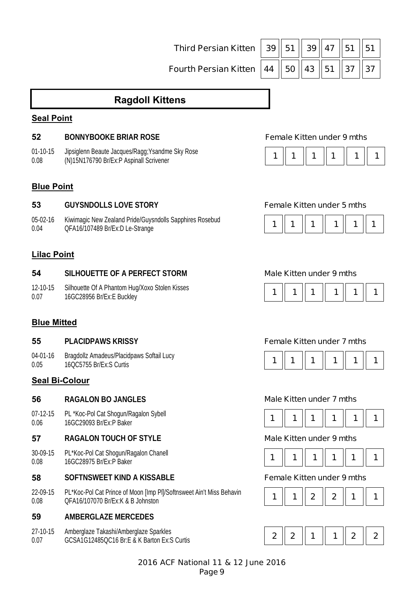**Third Persian Kitten | 39 | 51 | 39 | 47 | 51 | 51 Fourth Persian Kitten 144 150 143 151 137 137** 

# **Ragdoll Kittens**

### **Seal Point**

### **52 BONNYBOOKE BRIAR ROSE Female Kitten under 9 mths**

01-10-15 0.08 Jipsiglenn Beaute Jacques/Ragg;Ysandme Sky Rose (N)15N176790 Br/Ex:P Aspinall Scrivener

|--|--|--|--|--|--|

### **Blue Point**

### **53 GUYSNDOLLS LOVE STORY Female Kitten under 5 mths**

05-02-16 0.04 Kiwimagic New Zealand Pride/Guysndolls Sapphires Rosebud Riwilliagle New Zealand Phoelodyshoolis Sapphiles Rosebud **1 1 1 1 1 1 1 1 1 1 1 1 1 1 1 1 1** 1 **1** 

### **Lilac Point**

#### **54 SILHOUETTE OF A PERFECT STORM Male Kitten under 9 mths**

12-10-15 0.07 Silhouette Of A Phantom Hug/Xoxo Stolen Kisses  $\frac{1}{16}$  1  $\begin{bmatrix} 1 & 1 & 1 \\ 1 & 1 & 1 \end{bmatrix}$  1  $\begin{bmatrix} 1 & 1 & 1 \\ 1 & 1 & 1 \end{bmatrix}$  1  $\begin{bmatrix} 1 & 1 & 1 \\ 1 & 1 & 1 \end{bmatrix}$  1  $\begin{bmatrix} 1 & 1 & 1 \\ 1 & 1 & 1 \end{bmatrix}$  1  $\begin{bmatrix} 1 & 1 & 1 \\ 1 & 1 & 1 \end{bmatrix}$  1  $\begin{bmatrix} 1 & 1 & 1 \\ 1 & 1 & 1 \end{bmatrix}$  1  $\begin{$ 

### **Blue Mitted**

### **55 PLACIDPAWS KRISSY Female Kitten under 7 mths**

04-01-16 0.05 Bragdollz Amadeus/Placidpaws Softail Lucy

### **Seal Bi-Colour**

#### **56 RAGALON BO JANGLES Male Kitten under 7 mths**

07-12-15 0.06 PL \*Koc-Pol Cat Shogun/Ragalon Sybell

### **57 RAGALON TOUCH OF STYLE Male Kitten under 9 mths**

30-09-15 0.08 PL\*Koc-Pol Cat Shogun/Ragalon Chanell

#### **58 SOFTNSWEET KIND A KISSABLE Female Kitten under 9 mths**

22-09-15 0.08 PL\*Koc-Pol Cat Prince of Moon [Imp Pl]/Softnsweet Ain't Miss Behavin PL KOC-POLGAL PHILLE OF MOON [IIII] PH/SONITSWEEL AILTENISS BEHAVILLET | 1 | 1 | 1 | 2 | 2 | 1 | 1 | 1

### **59 AMBERGLAZE MERCEDES**

27-10-15 0.07 Amberglaze Takashi/Amberglaze Sparkles











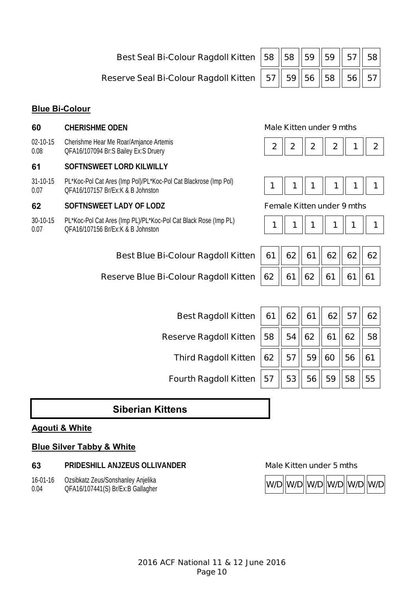**Best Seal Bi-Colour Ragdoll Kitten | 58 || 58 || 59 || 59 || 57 || 58** 

### **Reserve Seal Bi-Colour Ragdoll Kitten | 57 || 59 || 56 || 58 || 56 || 57**

### **Blue Bi-Colour**

- **60 CHERISHME ODEN Male Kitten under 9 mths**
- 02-10-15 0.08 Cherishme Hear Me Roar/Amjance Artemis QFA16/107094 Br:S Bailey Ex:S Druery **2 2 2 2 1 2**

### **61 SOFTNSWEET LORD KILWILLY**

31-10-15 0.07 PL\*Koc-Pol Cat Ares (Imp Pol)/PL\*Koc-Pol Cat Blackrose (Imp Pol) 1 **1** Not-1 of Cat Ares (imp 1 or)/1 **L** Roc-1 of Cat BlackTose (imp 1 or)<br>QFA16/107157 Br/Ex:K & B Johnston **1 1** 1 **1** 1 **1** 1 **1** 1 **1** 1 **1** 1 **1** 1

#### **62 SOFTNSWEET LADY OF LODZ Female Kitten under 9 mths**

30-10-15 0.07 PL\*Koc-Pol Cat Ares (Imp PL)/PL\*Koc-Pol Cat Black Rose (Imp PL) QFA16/107156 Br/Ex:K & B Johnston **1 1 1 1 1 1** 

### **Best Blue Bi-Colour Ragdoll Kitten**

**Best Ragdoll Kitten** 

**Third Ragdoll Kitten** 

**Fourth Ragdoll Kitten** 

**Reserve Ragdoll Kitten** 

### **Reserve Blue Bi-Colour Ragdoll Kitten**



|--|--|--|--|--|

|  | 61 62 61 61 62 62 62             |  |  |
|--|----------------------------------|--|--|
|  | 62    61    62    61    61    61 |  |  |

|    | 61   62   61   62   57   62                |                |                |
|----|--------------------------------------------|----------------|----------------|
|    | 58 $\ $ 54 $\ $ 62 $\ $ 61 $\ $ 62 $\ $ 58 |                |                |
|    | 62    57    59    60    56    61           |                |                |
| 57 |                                            | 53  56  59  58 | $\parallel$ 55 |

# **Siberian Kittens**

#### **Agouti & White**

### **Blue Silver Tabby & White**

#### **63 PRIDESHILL ANJZEUS OLLIVANDER Male Kitten under 5 mths**

16-01-16 0.04 Ozsibkatz Zeus/Sonshanley Anjelika

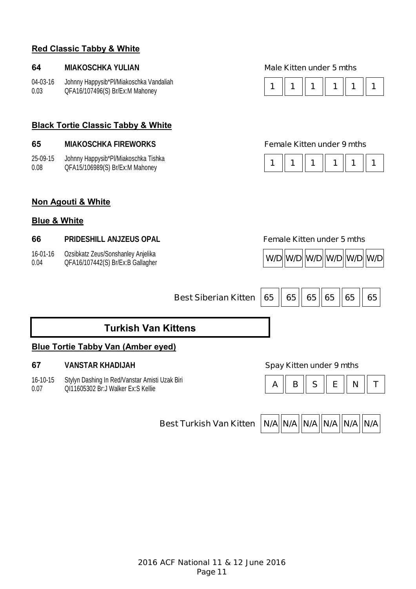### **Red Classic Tabby & White**

#### **64 MIAKOSCHKA YULIAN Male Kitten under 5 mths**

04-03-16 0.03 Johnny Happysib\*Pl/Miakoschka Vandaliah

### **Black Tortie Classic Tabby & White**

| 65 | <b>MIAKOSCHKA FIREWORKS</b> |
|----|-----------------------------|
|----|-----------------------------|

| 25-09-15 | Johnny Happysib*Pl/Miakoschka Tishka |
|----------|--------------------------------------|
| 0.08     | QFA15/106989(S) Br/Ex:M Mahoney      |



#### **Female Kitten under 9 mths**

| Johnny Happysib*Pl/Miakoschka Tishka<br>$\overline{1}$<br>QFA15/106989(S) Br/Ex:M Mahoney | $\parallel$ 1<br>   1    1 |  |  |
|-------------------------------------------------------------------------------------------|----------------------------|--|--|
|-------------------------------------------------------------------------------------------|----------------------------|--|--|

### **Non Agouti & White**

#### **Blue & White**

#### **66 PRIDESHILL ANJZEUS OPAL Female Kitten under 5 mths**

16-01-16 0.04 Ozsibkatz Zeus/Sonshanley Anjelika



**Best Siberian Kitten 65 | 65 | 65 | 65 | 65 | 65 | 65** 

# **Turkish Van Kittens**

### **Blue Tortie Tabby Van (Amber eyed)**

#### **67 VANSTAR KHADIJAH Spay Kitten under 9 mths**

16-10-15 0.07 Stylyn Dashing In Red/Vanstar Amisti Uzak Biri Stylyn Dashing in Redivalistal Afflish Ozak Bill<br>0111605302 Br:J Walker Ex:S Kellie **A Redival Afflick Communist Communist Communist Communist Communist Communist** 



**Best Turkish Van Kitten | N/A N/A N/A N/A N/A N/A N/A N/A**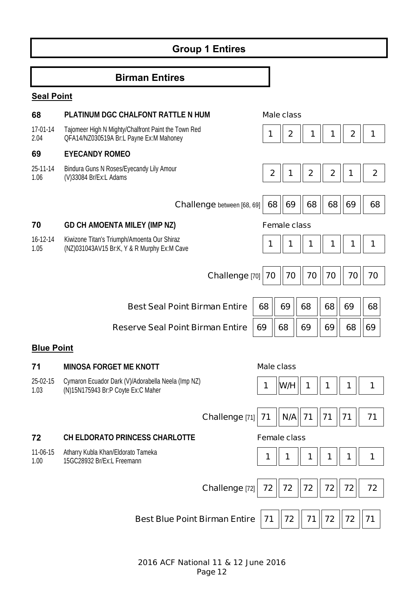# **Group 1 Entires**

# **Birman Entires**

# **Seal Point**

| 68                | PLATINUM DGC CHALFONT RATTLE N HUM                                                             |              | <b>Male class</b>   |                  |             |                  |                  |
|-------------------|------------------------------------------------------------------------------------------------|--------------|---------------------|------------------|-------------|------------------|------------------|
| 17-01-14<br>2.04  | Tajomeer High N Mighty/Chalfront Paint the Town Red<br>QFA14/NZ030519A Br:L Payne Ex:M Mahoney | 1            | $\boldsymbol{2}$    | 1                | 1           | $\boldsymbol{2}$ | 1                |
| 69                | <b>EYECANDY ROMEO</b>                                                                          |              |                     |                  |             |                  |                  |
| 25-11-14<br>1.06  | Bindura Guns N Roses/Eyecandy Lily Amour<br>(V)33084 Br/Ex:L Adams                             | $\mathbf{2}$ | 1                   | $\boldsymbol{2}$ | $\mathbf 2$ |                  | $\boldsymbol{2}$ |
|                   | <b>Challenge</b> between [68, 69]                                                              | 68           | 69                  | 68               | 68          | 69               | 68               |
| 70                | <b>GD CH AMOENTA MILEY (IMP NZ)</b>                                                            |              | <b>Female class</b> |                  |             |                  |                  |
| 16-12-14<br>1.05  | Kiwizone Titan's Triumph/Amoenta Our Shiraz<br>(NZ)031043AV15 Br:K, Y & R Murphy Ex:M Cave     | 1            | 1                   | 1                | 1           | 1                | 1                |
|                   | Challenge [70]                                                                                 | 70           | 70                  | 70               | 70          | 70               | 70               |
|                   | <b>Best Seal Point Birman Entire</b>                                                           | 68           | 69                  | 68               | 68          | 69               | 68               |
|                   | <b>Reserve Seal Point Birman Entire</b>                                                        | 69           | 68                  | 69               | 69          | 68               | 69               |
| <b>Blue Point</b> |                                                                                                |              |                     |                  |             |                  |                  |
| 71                | <b>MINOSA FORGET ME KNOTT</b>                                                                  |              | <b>Male class</b>   |                  |             |                  |                  |
| 25-02-15<br>1.03  | Cymaron Ecuador Dark (V)/Adorabella Neela (Imp NZ)<br>(N)15N175943 Br:P Coyte Ex:C Maher       | 1            | W/H                 | 1                | 1           | 1                | 1                |
|                   | Challenge [71] 71                                                                              |              | $N/A$ 71            |                  | 71          | 71               | 71               |
| 72                | <b>CH ELDORATO PRINCESS CHARLOTTE</b>                                                          |              | <b>Female class</b> |                  |             |                  |                  |
| 11-06-15<br>1.00  | Atharry Kubla Khan/Eldorato Tameka<br>15GC28932 Br/Ex:L Freemann                               | 1            | 1                   | 1                | 1           | 1                | 1                |
|                   | Challenge [72]                                                                                 | 72           | 72                  | 72               | 72          | 72               | 72               |
|                   | <b>Best Blue Point Birman Entire</b>                                                           | 71           | 72                  | 71               | 72          | 72               | 71               |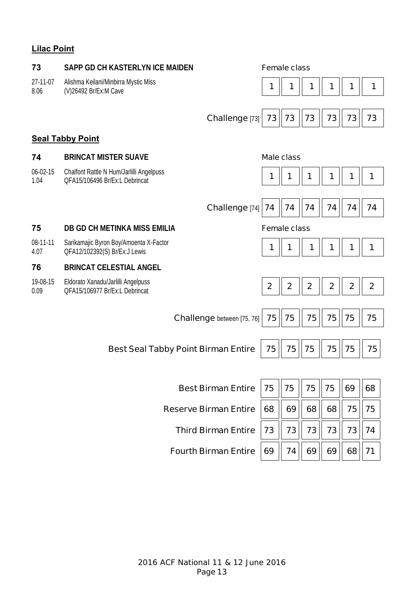# **Lilac Point**

| 73               | SAPP GD CH KASTERLYN ICE MAIDEN                                            |                                   | <b>Female class</b>     |                         |             |                |             |              |
|------------------|----------------------------------------------------------------------------|-----------------------------------|-------------------------|-------------------------|-------------|----------------|-------------|--------------|
| 27-11-07<br>8.06 | Alishma Keilani/Minbirra Mystic Miss<br>(V)26492 Br/Ex:M Cave              |                                   | 1                       | 1                       | 1           | 1              | 1           | 1            |
|                  |                                                                            | Challenge [73]                    | 73                      | 73                      | 73          | 73             | 73          | 73           |
|                  | <b>Seal Tabby Point</b>                                                    |                                   |                         |                         |             |                |             |              |
| 74               | <b>BRINCAT MISTER SUAVE</b>                                                |                                   | <b>Male class</b>       |                         |             |                |             |              |
| 06-02-15<br>1.04 | Chalfont Rattle N Hum/Jarlilli Angelpuss<br>QFA15/106496 Br/Ex:L Debrincat |                                   | 1                       |                         | 1           | 1              | 1           | 1            |
|                  |                                                                            | <b>Challenge</b> [74]             | 74                      | 74                      | 74          | 74             | 74          | 74           |
| 75               | DB GD CH METINKA MISS EMILIA                                               |                                   | <b>Female class</b>     |                         |             |                |             |              |
| 08-11-11<br>4.07 | Sarikamajic Byron Boy/Amoenta X-Factor<br>QFA12/102392(S) Br/Ex:J Lewis    |                                   | 1                       | 1                       | 1           | 1              | 1           | 1            |
| 76               | <b>BRINCAT CELESTIAL ANGEL</b>                                             |                                   |                         |                         |             |                |             |              |
| 19-08-15<br>0.09 | Eldorato Xanadu/Jarlilli Angelpuss<br>QFA15/106977 Br/Ex:L Debrincat       |                                   | $\overline{\mathbf{2}}$ | $\overline{\mathbf{2}}$ | $\mathbf 2$ | $\overline{2}$ | $\mathbf 2$ | $\mathbf{2}$ |
|                  |                                                                            |                                   |                         |                         |             |                |             |              |
|                  |                                                                            | <b>Challenge</b> between [75, 76] | 75                      | 75                      | 75          | 75             | 75          | 75           |
|                  | <b>Best Seal Tabby Point Birman Entire</b>                                 |                                   | 75                      | 75                      | 75          | 75             | 75          | 75           |
|                  |                                                                            |                                   |                         |                         |             |                |             |              |
|                  |                                                                            | <b>Best Birman Entire</b>         | 75                      | 75                      | 75          | 75             | 69          | 68           |
|                  |                                                                            | <b>Reserve Birman Entire</b>      | 68                      | 69                      | 68          | 68             | 75          | 75           |
|                  |                                                                            | <b>Third Birman Entire</b>        | 73                      | 73                      | 73          | 73             | 73          | 74           |
|                  |                                                                            | <b>Fourth Birman Entire</b>       | 69                      | 74                      | 69          | 69             | 68          | 71           |
|                  |                                                                            |                                   |                         |                         |             |                |             |              |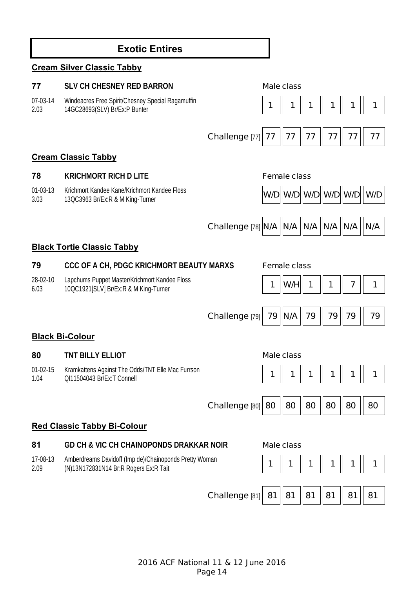# **Exotic Entires**

### **Cream Silver Classic Tabby**

### **77 SLV CH CHESNEY RED BARRON Male class**

07-03-14 2.03 Windeacres Free Spirit/Chesney Special Ragamuffin



### **Cream Classic Tabby**

01-03-13 3.03 Krichmort Kandee Kane/Krichmort Kandee Floss



### **Black Tortie Classic Tabby**

| 79               | CCC OF A CH, PDGC KRICHMORT BEAUTY MARXS                                               | <b>Female class</b> |  |
|------------------|----------------------------------------------------------------------------------------|---------------------|--|
| 28-02-10<br>6.03 | Lapchums Puppet Master/Krichmort Kandee Floss<br>10QC1921[SLV] Br/Ex:R & M King-Turner | 1  W/H  1    1    7 |  |
|                  |                                                                                        |                     |  |
|                  |                                                                                        |                     |  |

**Black Bi-Colour** 

### **80 TNT BILLY ELLIOT Male class**

01-02-15 1.04 Kramkattens Against The Odds/TNT Elle Mac Furrson



| Challenge [80] 80    80    80    80    80    80 |  |  |  |  |  |  |
|-------------------------------------------------|--|--|--|--|--|--|
|-------------------------------------------------|--|--|--|--|--|--|

**Challenge [79] 79 ||N/A || 79 || 79 || 79 || 79** 

### **Red Classic Tabby Bi-Colour**

**81 GD CH & VIC CH CHAINOPONDS DRAKKAR NOIR Male class**

17-08-13 2.09 Amberdreams Davidoff (Imp de)/Chainoponds Pretty Woman (N)13N172831N14 Br:R Rogers Ex:R Tait **1 1 1 1 1 1**





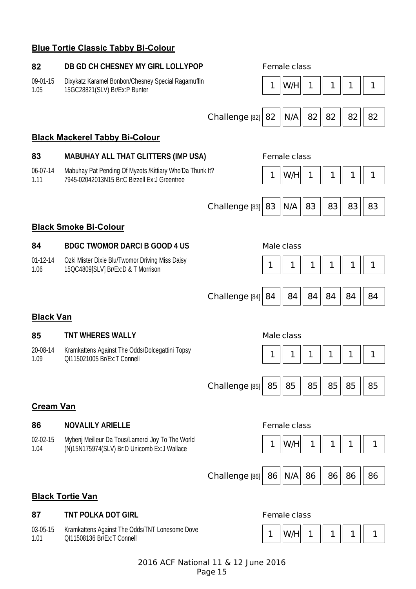### **Blue Tortie Classic Tabby Bi-Colour**

#### **82 DB GD CH CHESNEY MY GIRL LOLLYPOP Female class**

09-01-15 1.05 Dixykatz Karamel Bonbon/Chesney Special Ragamuffin Dix ykatz Karamer Bonbon/Chesney Special Ragamum<br>15GC28821(SLV) Br/Ex:P Bunter **1 August 2018** 

| Challenge [82] 82 $  N/A  $ 82 $  82  $ 82 $  $ 82 |  |  |  |  |  |  |
|----------------------------------------------------|--|--|--|--|--|--|
|----------------------------------------------------|--|--|--|--|--|--|

#### **Black Mackerel Tabby Bi-Colour**

#### **83 MABUHAY ALL THAT GLITTERS (IMP USA) Female class**

06-07-14 1.11 Mabuhay Pat Pending Of Myzots /Kittiary Who'Da Thunk It? 7945-02042013N15 Br:C Bizzell Ex:J Greentree **1 W/H 1 1 1 1** 





#### **Black Smoke Bi-Colour**

#### **84 BDGC TWOMOR DARCI B GOOD 4 US Male class**

01-12-14 1.06 Ozki Mister Dixie Blu/Twomor Driving Miss Daisy

# 15QC4809[SLV] Br/Ex:D & T Morrison **1 1 1 1 1 1**

**Challenge [84] 84 || 84 || 84 || 84 || 84 || 84** 

### **Black Van**

#### 85 TNT WHERES WALLY **Male class**

20-08-14 1.09 Kramkattens Against The Odds/Dolcegattini Topsy QI115021005 Br/Ex:T Connell **1 1 1 1 1 1** 





| Challenge [85]   85    85    85    85    85    85 |  |  |  |  |  |  |
|---------------------------------------------------|--|--|--|--|--|--|
|---------------------------------------------------|--|--|--|--|--|--|

### **Cream Van**

#### **86 NOVALILY ARIELLE Female class**

02-02-15 1.04 Mybenj Meilleur Da Tous/Lamerci Joy To The World (N)15N175974(SLV) Br:D Unicomb Ex:J Wallace **1 W/H 1 1 1 1**



**Challenge [86] 86 || N/A || 86 || 86 || 86 || 86** 

**Black Tortie Van** 

03-05-15 1.01 Kramkattens Against The Odds/TNT Lonesome Dove

### **87 TNT POLKA DOT GIRL Female class**

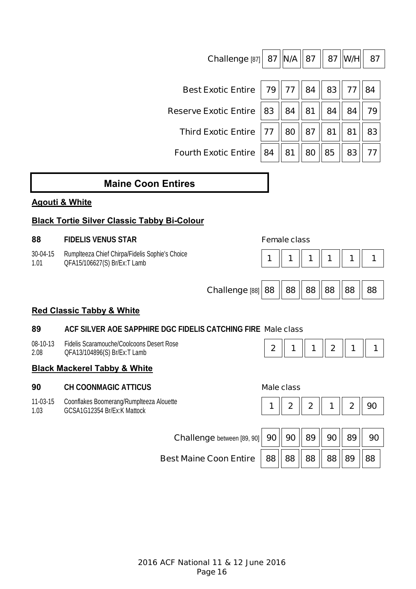|                                      | <b>Reserve Exotic Entire</b>                                                    | 83                  | 84                | 81             | 84           | 84          | 79 |  |  |  |  |  |  |
|--------------------------------------|---------------------------------------------------------------------------------|---------------------|-------------------|----------------|--------------|-------------|----|--|--|--|--|--|--|
|                                      | <b>Third Exotic Entire</b>                                                      | 77                  | 80                | 87             | 81           | 81          | 83 |  |  |  |  |  |  |
|                                      | <b>Fourth Exotic Entire</b>                                                     | 84                  | 81                | 80             | 85           | 83          | 77 |  |  |  |  |  |  |
|                                      | <b>Maine Coon Entires</b>                                                       |                     |                   |                |              |             |    |  |  |  |  |  |  |
| <b>Agouti &amp; White</b>            |                                                                                 |                     |                   |                |              |             |    |  |  |  |  |  |  |
|                                      | <b>Black Tortie Silver Classic Tabby Bi-Colour</b>                              |                     |                   |                |              |             |    |  |  |  |  |  |  |
| 88                                   | <b>FIDELIS VENUS STAR</b>                                                       | <b>Female class</b> |                   |                |              |             |    |  |  |  |  |  |  |
| 30-04-15<br>1.01                     | Rumplteeza Chief Chirpa/Fidelis Sophie's Choice<br>QFA15/106627(S) Br/Ex:T Lamb | 1                   |                   | 1              | 1            | 1           | 1  |  |  |  |  |  |  |
|                                      |                                                                                 |                     |                   |                |              |             |    |  |  |  |  |  |  |
|                                      | Challenge [88]                                                                  | 88                  | 88                | 88             | 88           | 88          | 88 |  |  |  |  |  |  |
| <b>Red Classic Tabby &amp; White</b> |                                                                                 |                     |                   |                |              |             |    |  |  |  |  |  |  |
| 89                                   | ACF SILVER AOE SAPPHIRE DGC FIDELIS CATCHING FIRE Male class                    |                     |                   |                |              |             |    |  |  |  |  |  |  |
| 08-10-13<br>2.08                     | Fidelis Scaramouche/Coolcoons Desert Rose<br>QFA13/104896(S) Br/Ex:T Lamb       | $\boldsymbol{2}$    | 1                 | 1              | $\mathbf{2}$ | 1           | 1  |  |  |  |  |  |  |
|                                      | <b>Black Mackerel Tabby &amp; White</b>                                         |                     |                   |                |              |             |    |  |  |  |  |  |  |
| 90                                   | <b>CH COONMAGIC ATTICUS</b>                                                     |                     | <b>Male class</b> |                |              |             |    |  |  |  |  |  |  |
| 11-03-15<br>1.03                     | Coonflakes Boomerang/Rumplteeza Alouette<br>GCSA1G12354 Br/Ex:K Mattock         | 1                   | $\mathbf 2$       | $\overline{2}$ | 1            | $\mathbf 2$ | 90 |  |  |  |  |  |  |
|                                      |                                                                                 |                     |                   |                |              |             |    |  |  |  |  |  |  |
|                                      | <b>Challenge</b> between [89, 90]                                               | 90                  | 90                | 89             | 90           | 89          | 90 |  |  |  |  |  |  |
|                                      | <b>Best Maine Coon Entire</b>                                                   | 88                  | 88                | 88             | 88           | 89          | 88 |  |  |  |  |  |  |

**Challenge [87]** 87  $\|$ **N/A**  $\|$  87  $\|$  87  $\|$ **W/H** $\|$  87

**Best Exotic Entire | 79 | 77 | 84 | 83 | 77 | 84**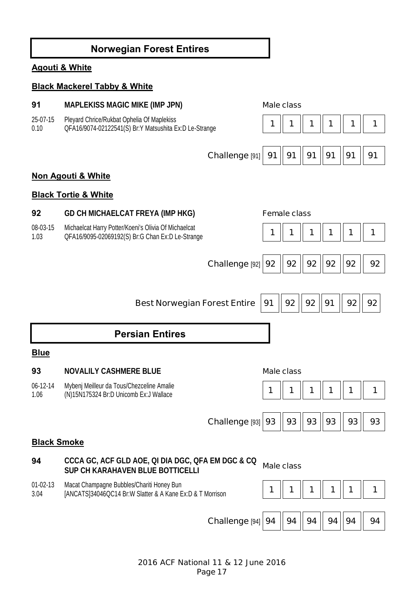# **Norwegian Forest Entires**

### **Agouti & White**

#### **Black Mackerel Tabby & White**

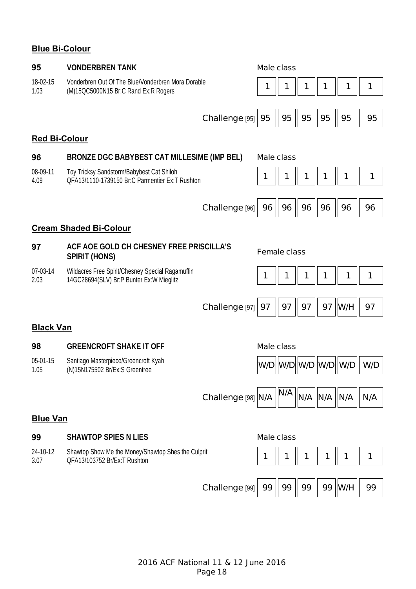# **Blue Bi-Colour**

| 95                            | <b>VONDERBREN TANK</b>                                                                       |                           | <b>Male class</b> |                     |     |         |                               |     |  |
|-------------------------------|----------------------------------------------------------------------------------------------|---------------------------|-------------------|---------------------|-----|---------|-------------------------------|-----|--|
| 18-02-15<br>1.03              | Vonderbren Out Of The Blue/Vonderbren Mora Dorable<br>(M)15QC5000N15 Br:C Rand Ex:R Rogers   |                           | 1                 | 1                   |     | 1       | 1                             | 1   |  |
|                               |                                                                                              |                           |                   |                     |     |         |                               |     |  |
|                               |                                                                                              | Challenge [95]            | 95                | 95                  | 95  | 95      | 95                            | 95  |  |
| <b>Red Bi-Colour</b>          |                                                                                              |                           |                   |                     |     |         |                               |     |  |
| 96                            | BRONZE DGC BABYBEST CAT MILLESIME (IMP BEL)                                                  |                           | <b>Male class</b> |                     |     |         |                               |     |  |
| 08-09-11<br>4.09              | Toy Tricksy Sandstorm/Babybest Cat Shiloh<br>OFA13/1110-1739150 Br:C Parmentier Ex:T Rushton |                           | 1                 | 1                   | 1   | 1       | 1                             | 1   |  |
|                               |                                                                                              | Challenge [96]            | 96                | 96                  | 96  | 96      | 96                            | 96  |  |
| <b>Cream Shaded Bi-Colour</b> |                                                                                              |                           |                   |                     |     |         |                               |     |  |
| 97                            | ACF AOE GOLD CH CHESNEY FREE PRISCILLA'S<br><b>SPIRIT (HONS)</b>                             |                           |                   | <b>Female class</b> |     |         |                               |     |  |
| 07-03-14<br>2.03              | Wildacres Free Spirit/Chesney Special Ragamuffin<br>14GC28694(SLV) Br:P Bunter Ex:W Mieglitz |                           | 1                 | 1                   | 1   | 1       | 1                             | 1   |  |
|                               |                                                                                              | Challenge <sup>[97]</sup> | 97                | 97                  | 97  | 97      | W/H                           | 97  |  |
| <b>Black Van</b>              |                                                                                              |                           |                   |                     |     |         |                               |     |  |
| 98                            | <b>GREENCROFT SHAKE IT OFF</b>                                                               |                           | <b>Male class</b> |                     |     |         |                               |     |  |
| 05-01-15<br>1.05              | Santiago Masterpiece/Greencroft Kyah<br>(N)15N175502 Br/Ex:S Greentree                       |                           |                   |                     |     |         | W/D  W/D  W/D  W/D  W/D   W/D |     |  |
|                               |                                                                                              | Challenge [98] N/A        |                   | N/A                 | N/A | N/A N/A |                               | N/A |  |
| <b>Blue Van</b>               |                                                                                              |                           |                   |                     |     |         |                               |     |  |
| 99                            | <b>SHAWTOP SPIES N LIES</b>                                                                  |                           | <b>Male class</b> |                     |     |         |                               |     |  |
| 24-10-12<br>3.07              | Shawtop Show Me the Money/Shawtop Shes the Culprit<br>QFA13/103752 Br/Ex:T Rushton           |                           | 1                 | 1                   | 1   | 1       | 1                             | 1   |  |

**Challenge [99]** 99  $\|$  99  $\|$  99  $\|$  99  $\|$  W/H  $\|$  99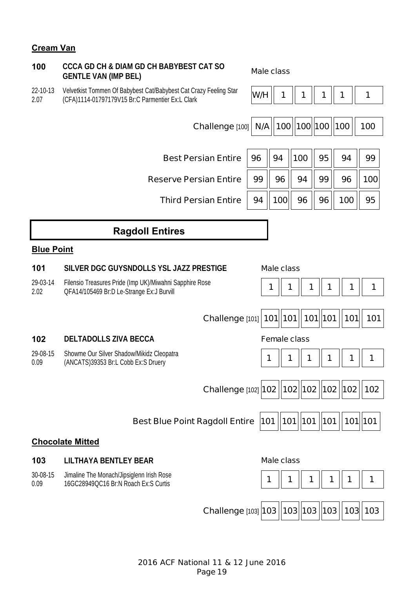### **Cream Van**

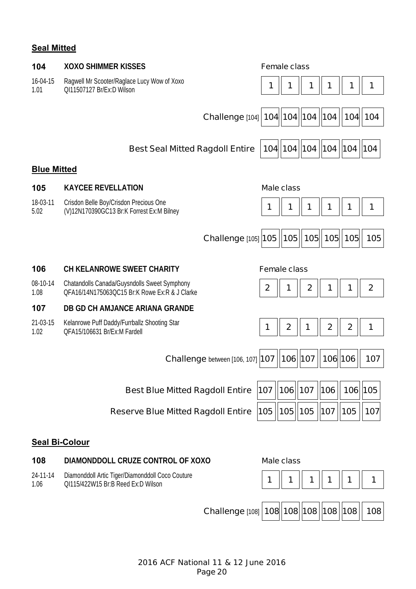# **Seal Mitted**

| 104                   | <b>XOXO SHIMMER KISSES</b>                                                                    | <b>Female class</b>   |                   |              |                  |                                   |                  |  |  |  |  |  |
|-----------------------|-----------------------------------------------------------------------------------------------|-----------------------|-------------------|--------------|------------------|-----------------------------------|------------------|--|--|--|--|--|
| 16-04-15<br>1.01      | Ragwell Mr Scooter/Raglace Lucy Wow of Xoxo<br>QI11507127 Br/Ex:D Wilson                      | 1                     | 1                 | 1            | 1                | 1                                 | 1                |  |  |  |  |  |
|                       | Challenge [104] 104   104   104   104                                                         |                       |                   |              |                  | 104 104                           |                  |  |  |  |  |  |
|                       | <b>Best Seal Mitted Ragdoll Entire</b>                                                        |                       |                   |              |                  | 104   104   104   104   104   104 |                  |  |  |  |  |  |
| <b>Blue Mitted</b>    |                                                                                               |                       |                   |              |                  |                                   |                  |  |  |  |  |  |
| 105                   | <b>KAYCEE REVELLATION</b>                                                                     |                       | <b>Male class</b> |              |                  |                                   |                  |  |  |  |  |  |
| 18-03-11<br>5.02      | Crisdon Belle Boy/Crisdon Precious One<br>(V)12N170390GC13 Br:K Forrest Ex:M Bilney           | 1                     | 1                 |              |                  |                                   | 1                |  |  |  |  |  |
|                       | <b>Challenge [105] 105</b>                                                                    |                       | 105               |              |                  | 105  105  105                     | 105              |  |  |  |  |  |
| 106                   | <b>CH KELANROWE SWEET CHARITY</b>                                                             | <b>Female class</b>   |                   |              |                  |                                   |                  |  |  |  |  |  |
| 08-10-14<br>1.08      | Chatandolls Canada/Guysndolls Sweet Symphony<br>QFA16/14N175063QC15 Br:K Rowe Ex:R & J Clarke | $\boldsymbol{2}$      | 1                 | $\mathbf{2}$ | 1                | 1                                 | $\boldsymbol{2}$ |  |  |  |  |  |
| 107                   | DB GD CH AMJANCE ARIANA GRANDE                                                                |                       |                   |              |                  |                                   |                  |  |  |  |  |  |
| 21-03-15<br>1.02      | Kelanrowe Puff Daddy/Furrballz Shooting Star<br>OFA15/106631 Br/Ex:M Fardell                  | 1                     | $\mathbf{2}$      | 1            | $\boldsymbol{2}$ | $\mathbf{2}$                      | 1                |  |  |  |  |  |
|                       | <b>Challenge</b> between [106, 107] <b>107</b>                                                |                       | 106 107           |              | 106 106          |                                   | 107              |  |  |  |  |  |
|                       | <b>Best Blue Mitted Ragdoll Entire</b>                                                        | 107   106   107   106 |                   |              |                  | 106 105                           |                  |  |  |  |  |  |
|                       | <b>Reserve Blue Mitted Ragdoll Entire</b>                                                     | 105   105   105       |                   |              | $\vert$ 107      | 105                               | 107              |  |  |  |  |  |
| <b>Seal Bi-Colour</b> |                                                                                               |                       |                   |              |                  |                                   |                  |  |  |  |  |  |
| 108                   | DIAMONDDOLL CRUZE CONTROL OF XOXO                                                             |                       | <b>Male class</b> |              |                  |                                   |                  |  |  |  |  |  |
| 24-11-14<br>1.06      | Diamonddoll Artic Tiger/Diamonddoll Coco Couture<br>QI115/422W15 Br:B Reed Ex:D Wilson        | 1                     |                   | 1            |                  |                                   | 1                |  |  |  |  |  |
|                       | Challenge [108] 108 108 108 108 108                                                           |                       |                   |              |                  |                                   | 108              |  |  |  |  |  |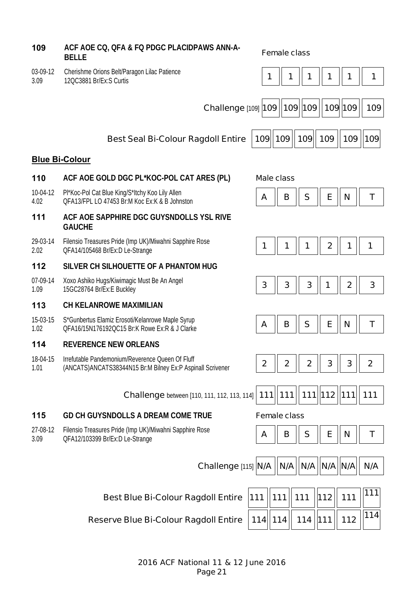**109 ACF AOE CQ, QFA & FQ PDGC PLACIDPAWS ANN-A-BELLE Female class** 03-09-12 3.09 Cherishme Orions Belt/Paragon Lilac Patience Chensinile Orions Belive alagon Lilac Patience<br>12OC3881 Br/Ex:S Curtis **1** 1 **1** 1 **1** 1 **1** 1 **1** 1 **1** 1 **1** 1 **Challenge** [109] **109 109 109 109 109 109 Best Seal Bi-Colour Ragdoll Entire 109 109 109 109 109 109 Blue Bi-Colour 110 ACF AOE GOLD DGC PL\*KOC-POL CAT ARES (PL) Male class** 10-04-12 4.02 Pl\*Koc-Pol Cat Blue King/S\*Itchy Koo Lily Allen Pr Not-Por Car Blue Ning/3 http://www.chip.com/2010/10.html<br>QFA13/FPL LO 47453 Br:M Koc Ex:K & B Johnston **A Replace A Replace A Replace A Replace A Replace A Replace A Replace A 111 ACF AOE SAPPHIRE DGC GUYSNDOLLS YSL RIVE GAUCHE**  29-03-14 2.02 Filensio Treasures Pride (Imp UK)/Miwahni Sapphire Rose QFA14/105468 Br/Ex:D Le-Strange **1 1 1 2 1 1 112 SILVER CH SILHOUETTE OF A PHANTOM HUG**  07-09-14 1.09 Xoxo Ashiko Hugs/Kiwimagic Must Be An Angel Abko Ashiko Hugs/Kiwilhagic Must be Arr Anger<br>15GC28764 Br/Ex:E Buckley **3 3 3 3 3 3 3 3 3 4 2 6 3 113 CH KELANROWE MAXIMILIAN**  15-03-15 1.02 S\*Gunbertus Elamiz Erosoti/Kelanrowe Maple Syrup OFA16/15N176192QC15 Br:K Rowe Ex:R & J Clarke **And A Reserve A Reserve A Reserve A B B S B E N T 114 REVERENCE NEW ORLEANS**  18-04-15 1.01 Irrefutable Pandemonium/Reverence Queen Of Fluff Thermable Pandemonium/Neverence Queen Of Pium<br>(ANCATS)ANCATS38344N15 Br:M Bilney Ex:P Aspinall Scrivener **2 | 2** | **2** | **2** | **3** | **3** | **3** | **2 Challenge** between [110, 111, 112, 113, 114] | **111** | | **111** | | **111** | | **12** | | **111** | | **111 115 GD CH GUYSNDOLLS A DREAM COME TRUE Female class** 27-08-12 3.09 Filensio Treasures Pride (Imp UK)/Miwahni Sapphire Rose Pliensio Treasures Pride (initi or *y*/Milwahili Sapprille Rose **A B A B B S E A E N T CFA12/103399 Br/Ex:D Le-Strange Challenge [115] N/A || N/A || N/A || N/A || N/A || N/A Best Blue Bi-Colour Ragdoll Entire 111 111 111** 111 112 111 111

**Reserve Blue Bi-Colour Ragdoll Entire 114 114 114 111 112 <sup>114</sup>**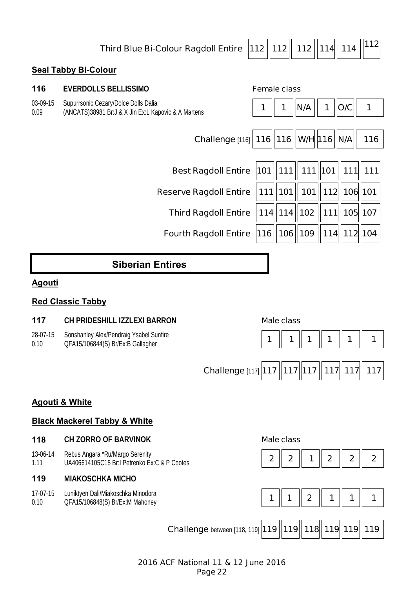**Third Blue Bi-Colour Ragdoll Entire 112 112 112 114 114 <sup>112</sup>**

### **Seal Tabby Bi-Colour**

| 116              | <b>EVERDOLLS BELLISSIMO</b>                                                                 | <b>Female class</b> |                       |           |                       |         |             |
|------------------|---------------------------------------------------------------------------------------------|---------------------|-----------------------|-----------|-----------------------|---------|-------------|
| 03-09-15<br>0.09 | Supurrsonic Cezary/Dolce Dolls Dalia<br>(ANCATS)38981 Br:J & X Jin Ex:L Kapovic & A Martens |                     | 1                     | N/A       | 1                     | O/C     | 1           |
|                  |                                                                                             |                     |                       |           |                       |         |             |
|                  | Challenge [116]   116   116   W/H 16   N/A                                                  |                     |                       |           |                       |         | 116         |
|                  |                                                                                             |                     |                       |           |                       |         |             |
|                  | <b>Best Ragdoll Entire</b>                                                                  |                     | 101   111   111   101 |           |                       |         | $111$   111 |
|                  | <b>Reserve Ragdoll Entire</b>                                                               |                     | $111$   101           |           | 101   112   106   101 |         |             |
|                  | <b>Third Ragdoll Entire</b>                                                                 |                     | $114$   114  102      |           | 111                   |         | 105 107     |
|                  | <b>Fourth Ragdoll Entire</b>                                                                | 116                 |                       | 106   109 | 114                   | 112 104 |             |

# **Siberian Entires**

### **Agouti**

### **Red Classic Tabby**

#### **117 CH PRIDESHILL IZZLEXI BARRON Male class**

- 28-07-15 Sonshanley Alex/Pendraig Ysabel Sunfire
- 0.10



### **Agouti & White**

### **Black Mackerel Tabby & White**

#### **118 CH ZORRO OF BARVINOK Male class**

13-06-14 1.11 Rebus Angara \*Ru/Margo Serenity UA406614105C15 Br:I Petrenko Ex:C & P Cootes **2 2 1 2 2 2**

### **119 MIAKOSCHKA MICHO**

17-07-15 0.10 Luniktyen Dali/Miakoschka Minodora







**Challenge** between [118, 119] **119 | 119 | 118 | 119 | 119 | 119 | 119**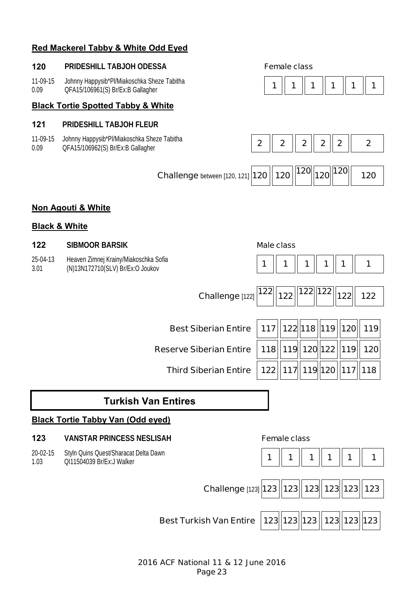### **Red Mackerel Tabby & White Odd Eyed**

#### **120 PRIDESHILL TABJOH ODESSA Female class**

11-09-15 0.09 Johnny Happysib\*Pl/Miakoschka Sheze Tabitha QFA15/106961(S) Br/Ex:B Gallagher **1 1 1 1 1 1** 

#### **Black Tortie Spotted Tabby & White**

#### **121 PRIDESHILL TABJOH FLEUR**

11-09-15 0.09 Johnny Happysib\*Pl/Miakoschka Sheze Tabitha





| Challenge between [120, 121] 120 $\ 120\ $ 120 $\ 120\ $ 120 $\ 120\ $ |  |  |  |  |  | 120 |
|------------------------------------------------------------------------|--|--|--|--|--|-----|
|------------------------------------------------------------------------|--|--|--|--|--|-----|

### **Non Agouti & White**

#### **Black & White**

20-02-15 1.03

#### **122 SIBMOOR BARSIK Male class**

| 25-04-13 | Heaven Zimnej Krainy/Miakoschka Sofia |
|----------|---------------------------------------|
| 3.01     | (N)13N172710(SLV) Br/Ex:O Joukov      |





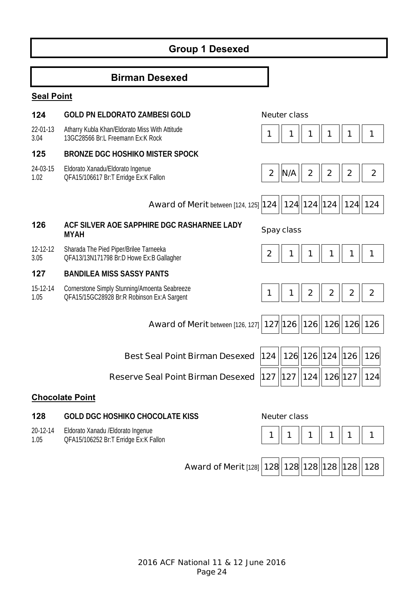# **Group 1 Desexed**

# **Birman Desexed**

### **Seal Point**

| 124              | <b>GOLD PN ELDORATO ZAMBESI GOLD</b>                                                        |                  | <b>Neuter class</b> |              |                     |                |                  |
|------------------|---------------------------------------------------------------------------------------------|------------------|---------------------|--------------|---------------------|----------------|------------------|
| 22-01-13<br>3.04 | Atharry Kubla Khan/Eldorato Miss With Attitude<br>13GC28566 Br:L Freemann Ex:K Rock         | 1                | 1                   |              | 1                   | 1              | 1                |
| 125              | <b>BRONZE DGC HOSHIKO MISTER SPOCK</b>                                                      |                  |                     |              |                     |                |                  |
| 24-03-15<br>1.02 | Eldorato Xanadu/Eldorato Ingenue<br>QFA15/106617 Br:T Erridge Ex:K Fallon                   | $\boldsymbol{2}$ | N/A                 | $\mathbf{2}$ | $\mathbf{2}$        | $\overline{2}$ | $\mathbf{2}$     |
|                  | <b>Award of Merit between [124, 125] 124</b>                                                |                  |                     | 124 124 124  |                     | 124            | 124              |
| 126              | ACF SILVER AOE SAPPHIRE DGC RASHARNEE LADY<br><b>MYAH</b>                                   |                  | <b>Spay class</b>   |              |                     |                |                  |
| 12-12-12<br>3.05 | Sharada The Pied Piper/Brilee Tarneeka<br>QFA13/13N171798 Br:D Howe Ex:B Gallagher          | $\boldsymbol{2}$ |                     |              | 1                   |                | 1                |
| 127              | <b>BANDILEA MISS SASSY PANTS</b>                                                            |                  |                     |              |                     |                |                  |
| 15-12-14<br>1.05 | Cornerstone Simply Stunning/Amoenta Seabreeze<br>QFA15/15GC28928 Br:R Robinson Ex:A Sargent | 1                |                     | $\mathbf 2$  | $\mathbf 2$         | $\overline{2}$ | $\boldsymbol{2}$ |
|                  | <b>Award of Merit between [126, 127]</b>                                                    |                  | 127 126             | 126          | 126   126   126     |                |                  |
|                  | <b>Best Seal Point Birman Desexed</b>                                                       | 124              |                     | 126 126      | $\vert$ 124         | 126            | 126              |
|                  |                                                                                             |                  |                     |              |                     |                |                  |
|                  | <b>Reserve Seal Point Birman Desexed</b>                                                    | 127              | 127                 | 124          | 126 127             |                | 124              |
|                  | <b>Chocolate Point</b>                                                                      |                  |                     |              |                     |                |                  |
| 128              | <b>GOLD DGC HOSHIKO CHOCOLATE KISS</b>                                                      |                  | <b>Neuter class</b> |              |                     |                |                  |
| 20-12-14<br>1.05 | Eldorato Xanadu / Eldorato Ingenue<br>QFA15/106252 Br:T Erridge Ex:K Fallon                 | 1                | 1                   |              | 1                   | 1              | 1                |
|                  | <b>Award of Merit [128] 128</b>                                                             |                  |                     |              | 128  128  128   128 |                | 128              |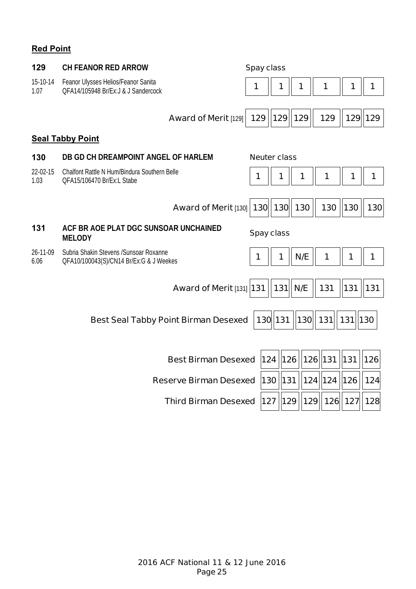# **Red Point**

| 129              | <b>CH FEANOR RED ARROW</b>                                                         | <b>Spay class</b> |                     |     |               |       |         |
|------------------|------------------------------------------------------------------------------------|-------------------|---------------------|-----|---------------|-------|---------|
| 15-10-14<br>1.07 | Feanor Ulysses Helios/Feanor Sanita<br>OFA14/105948 Br/Ex: J & J Sandercock        | 1                 | 1                   | 1   | 1             | 1     | 1       |
|                  |                                                                                    |                   |                     |     |               |       |         |
|                  | <b>Award of Merit [129]</b>                                                        | 129               | $\parallel$ 129     | 129 | 129           |       | 129 129 |
|                  | <b>Seal Tabby Point</b>                                                            |                   |                     |     |               |       |         |
| 130              | DB GD CH DREAMPOINT ANGEL OF HARLEM                                                |                   | <b>Neuter class</b> |     |               |       |         |
| 22-02-15<br>1.03 | Chalfont Rattle N Hum/Bindura Southern Belle<br>QFA15/106470 Br/Ex:L Stabe         | 1                 |                     | 1   | 1             | 1     | 1       |
|                  |                                                                                    |                   |                     |     |               |       |         |
|                  | <b>Award of Merit [130]</b>                                                        |                   | 130 130             | 130 | 130           | 130   | 130     |
| 131              | ACF BR AOE PLAT DGC SUNSOAR UNCHAINED<br><b>MELODY</b>                             |                   | <b>Spay class</b>   |     |               |       |         |
| 26-11-09<br>6.06 | Subria Shakin Stevens / Sunsoar Roxanne<br>QFA10/100043(S)/CN14 Br/Ex:G & J Weekes | 1                 | 1                   | N/E | 1             | 1     | 1       |
|                  |                                                                                    |                   |                     |     |               |       |         |
|                  | <b>Award of Merit [131] 131</b>                                                    |                   | 131                 | N/E | 131           | 131   | 131     |
|                  | <b>Best Seal Tabby Point Birman Desexed</b>                                        |                   | 130 131             | 130 | 131           | $131$ | $130$   |
|                  |                                                                                    |                   |                     |     |               |       |         |
|                  | <b>Best Birman Desexed</b>                                                         |                   | 124 126             | 126 | 131           | 131   | 126     |
|                  | <b>Reserve Birman Desexed</b>                                                      |                   | 130 131             |     | 124 124       | 126   | 124     |
|                  | <b>Third Birman Desexed</b>                                                        |                   | 127   129           |     | 129  126  127 |       | 128     |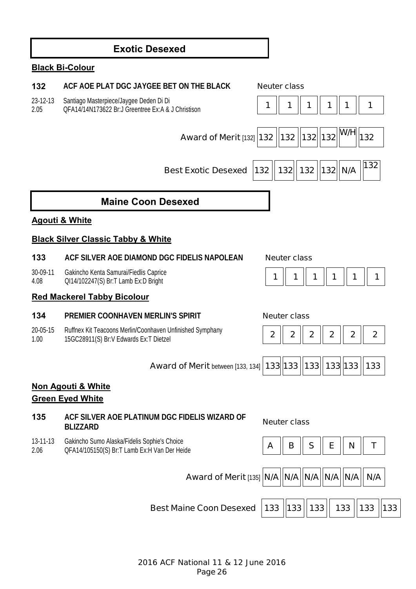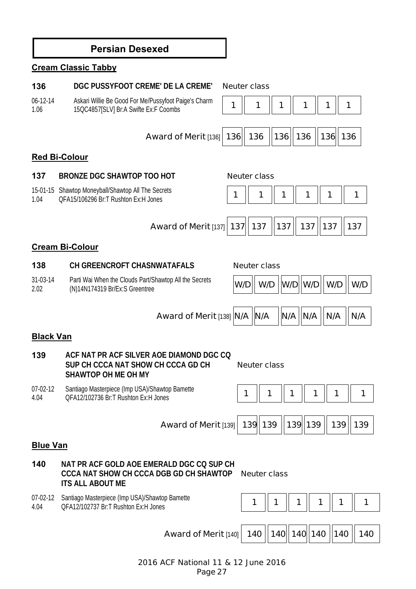# **Persian Desexed Cream Classic Tabby 136 DGC PUSSYFOOT CREME' DE LA CREME' Neuter class** 06-12-14 1.06 Askari Willie Be Good For Me/Pussyfoot Paige's Charm Askart Willie Be Good For Mer Pussyloot Palge's Criamin | 1 | 1 | 1 | 1 | 1 | 1 | 1 | 1 | 1 **Award of Merit** [136] 136 || 136 || 136 || 136 || 136 || 136 **Red Bi-Colour 137 BRONZE DGC SHAWTOP TOO HOT Neuter class** 15-01-15 Shawtop Moneyball/Shawtop All The Secrets 1.04 Shawidp Moneybali/Shawidp All The Secrets<br>OFA15/106296 Br:T Rushton Ex:H Jones **1 1** 1 **1** 1 **1** 1 **1** 1 **1** 1 **1** 1 **Award of Merit [137] 137 | 137 | 137 | 137 | 137 | 137 Cream Bi-Colour 138 CH GREENCROFT CHASNWATAFALS Neuter class** 31-03-14 2.02 Parti Wai When the Clouds Part/Shawtop All the Secrets Parti wal wrien the Clouds Partishawtop All the Secrets **W/D W/D W/D W/D W/D W/D N/D N/D N/D Award of Merit [138] N/A | N/A | N/A | N/A | N/A | N/A Black Van 139 ACF NAT PR ACF SILVER AOE DIAMOND DGC CQ SUP CH CCCA NAT SHOW CH CCCA GD CH SHAWTOP OH ME OH MY Neuter class** 07-02-12 4.04 Santiago Masterpiece (Imp USA)/Shawtop Bamette Sanliago Masterpiece (inip OSA)/Shawtop Danielle<br>QFA12/102736 Br:T Rushton Ex:H Jones **1 1** 1 **1** 1 **1** 1 **1** 1 **1** 1 **1** 1 **Award of Merit** [139] **139 139 139 139 139 139 Blue Van 140 NAT PR ACF GOLD AOE EMERALD DGC CQ SUP CH CCCA NAT SHOW CH CCCA DGB GD CH SHAWTOP ITS ALL ABOUT ME Neuter class** 07-02-12 4.04 Santiago Masterpiece (Imp USA)/Shawtop Bamette Sanuago Masterpiece (inip OSA)/Shawtop Baniette<br>OFA12/102737 Br:T Rushton Ex:H Jones **12 1 1 1 1 1 1 1 1 1 1 1 1 1 1 1 1** 1 **Award of Merit [140] 140 | 140 | 140 | 140 | 140 | 140 | 140**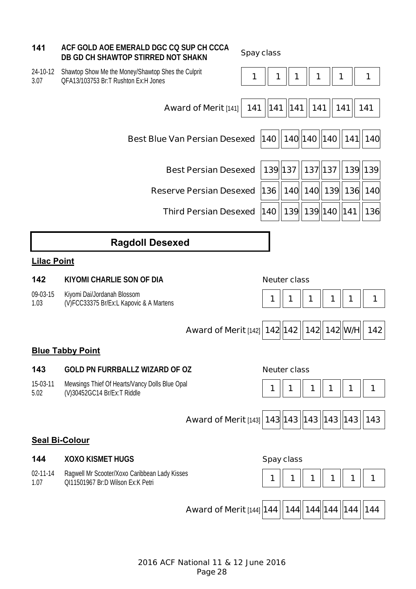| 141                    | ACF GOLD AOE EMERALD DGC CQ SUP CH CCCA<br>DB GD CH SHAWTOP STIRRED NOT SHAKN              |                                                  | <b>Spay class</b> |         |                        |         |   |                                    |         |
|------------------------|--------------------------------------------------------------------------------------------|--------------------------------------------------|-------------------|---------|------------------------|---------|---|------------------------------------|---------|
| 24-10-12<br>3.07       | Shawtop Show Me the Money/Shawtop Shes the Culprit<br>QFA13/103753 Br:T Rushton Ex:H Jones |                                                  | 1                 | 1       | 1                      | 1       |   | 1                                  | 1       |
|                        |                                                                                            | <b>Award of Merit [141]</b>                      | 141               | 141     | 141                    | 141     |   | 141                                | 141     |
|                        |                                                                                            | <b>Best Blue Van Persian Desexed</b>             |                   |         |                        |         |   | 140    140  140   140    141   140 |         |
|                        |                                                                                            | <b>Best Persian Desexed</b>                      |                   | 139 137 |                        | 137 137 |   |                                    | 139 139 |
|                        |                                                                                            | <b>Reserve Persian Desexed</b>                   |                   | 136     |                        |         |   | 140   140   139   136   140        |         |
|                        |                                                                                            | <b>Third Persian Desexed</b>                     |                   | 140     | 139   139   140    141 |         |   |                                    | 136     |
|                        | <b>Ragdoll Desexed</b>                                                                     |                                                  |                   |         |                        |         |   |                                    |         |
| <b>Lilac Point</b>     |                                                                                            |                                                  |                   |         |                        |         |   |                                    |         |
| 142                    | <b>KIYOMI CHARLIE SON OF DIA</b>                                                           |                                                  |                   |         | <b>Neuter class</b>    |         |   |                                    |         |
| 09-03-15<br>1.03       | Kiyomi Dai/Jordanah Blossom<br>(V)FCC33375 Br/Ex:L Kapovic & A Martens                     |                                                  |                   | 1       |                        | 1       | 1 | 1                                  | 1       |
|                        |                                                                                            | <b>Award of Merit [142] 142 142</b>              |                   |         |                        |         |   | 142 142 W/H                        | 142     |
|                        | <b>Blue Tabby Point</b>                                                                    |                                                  |                   |         |                        |         |   |                                    |         |
| 143                    | <b>GOLD PN FURRBALLZ WIZARD OF OZ</b>                                                      |                                                  |                   |         | <b>Neuter class</b>    |         |   |                                    |         |
| 15-03-11<br>5.02       | Mewsings Thief Of Hearts/Vancy Dolls Blue Opal<br>(V)30452GC14 Br/Ex:T Riddle              |                                                  |                   | 1       |                        | 1       |   | 1                                  | 1       |
|                        |                                                                                            | Award of Merit [143] 143   143   143   143   143 |                   |         |                        |         |   |                                    | 143     |
|                        | <b>Seal Bi-Colour</b>                                                                      |                                                  |                   |         |                        |         |   |                                    |         |
| 144                    | <b>XOXO KISMET HUGS</b>                                                                    |                                                  |                   |         | <b>Spay class</b>      |         |   |                                    |         |
| $02 - 11 - 14$<br>1.07 | Ragwell Mr Scooter/Xoxo Caribbean Lady Kisses<br>QI11501967 Br:D Wilson Ex:K Petri         |                                                  |                   | 1       | 1                      | 1       | 1 | 1                                  | 1       |
|                        |                                                                                            |                                                  |                   |         |                        |         |   |                                    |         |
|                        |                                                                                            | <b>Award of Merit [144] 144</b>                  |                   |         |                        |         |   | 144   144   144   144   144        |         |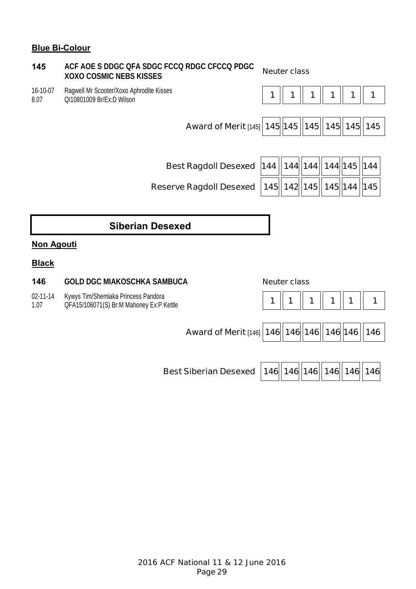### **Blue Bi-Colour**

### **145 ACF AOE S DDGC QFA SDGC FCCQ RDGC CFCCQ PDGC XOXO COSMIC NEBS KISSES Neuter class**

16-10-07 8.07 Ragwell Mr Scooter/Xoxo Aphrodite Kisses



**Best Ragdoll Desexed | 144 | 144 | 144 | 144 | 145 | 144 Reserve Ragdoll Desexed 145 142 145 145 144 145** 

# **Siberian Desexed**

### **Non Agouti**

### **Black**

**146 GOLD DGC MIAKOSCHKA SAMBUCA Neuter class**

02-11-14 Kywys Tim/Shemiaka Princess Pandora

1.07



**Best Siberian Desexed | 146 146 146 146 146 146 146**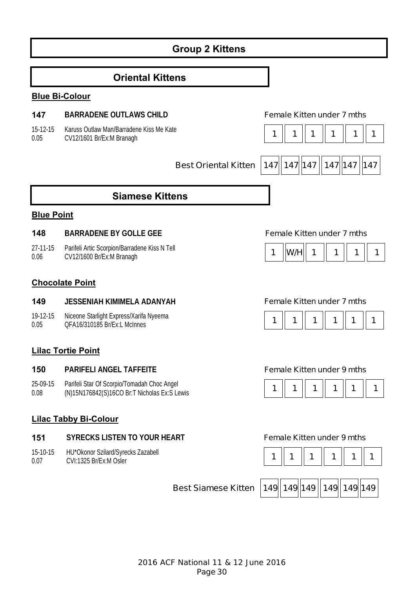# **Group 2 Kittens**

### **Oriental Kittens**

#### **Blue Bi-Colour**

#### **147 BARRADENE OUTLAWS CHILD Female Kitten under 7 mths**

15-12-15 0.05 Karuss Outlaw Man/Barradene Kiss Me Kate



**Best Oriental Kitten 147 147 147 147 147 147 147** 

### **Siamese Kittens**

#### **Blue Point**

#### **148 BARRADENE BY GOLLE GEE Female Kitten under 7 mths**

27-11-15 0.06 Parifeli Artic Scorpion/Barradene Kiss N Tell CV12/1600 Br/Ex:M Branagh **1 W/H 1 1 1 1** 

#### **Chocolate Point**

#### **149 JESSENIAH KIMIMELA ADANYAH Female Kitten under 7 mths**

19-12-15 0.05 Niceone Starlight Express/Xarifa Nyeema

#### **Lilac Tortie Point**

#### **150 PARIFELI ANGEL TAFFEITE Female Kitten under 9 mths**

- 25-09-15 Parifeli Star Of Scorpio/Tomadah Choc Angel
- 0.08

| 77. I |
|-------|
|-------|





### **Lilac Tabby Bi-Colour**

#### **151 SYRECKS LISTEN TO YOUR HEART Female Kitten under 9 mths**

15-10-15 0.07 HU\*Okonor Szilard/Syrecks Zazabell



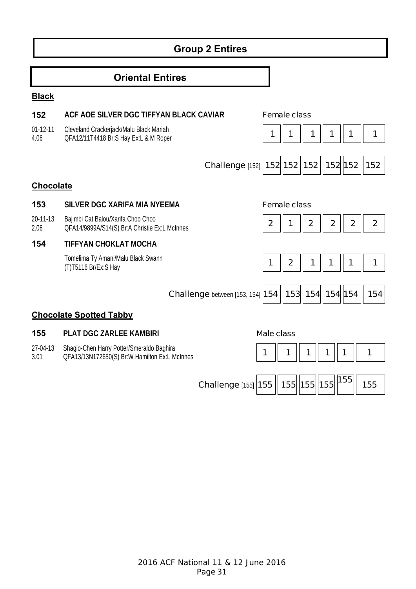# **Group 2 Entires**

## **Oriental Entires**

#### **Black**

### **152 ACF AOE SILVER DGC TIFFYAN BLACK CAVIAR Female class**

01-12-11 Cleveland Crackerjack/Malu Black Mariah

4.06 QFA12/11T4418 Br:S Hay Ex:L & M Roper **1 1 1 1 1 1**

| Challenge [152] 152   152   152   152   152   152 |  |  |  |
|---------------------------------------------------|--|--|--|

### **Chocolate**

### **153 SILVER DGC XARIFA MIA NYEEMA Female class**

20-11-13 Bajimbi Cat Balou/Xarifa Choo Choo

2.06 Bajimbi Cat Balou/Xarifa Choo Choo<br>QFA14/9899A/S14(S) Br:A Christie Ex:L McInnes **2 2 1 2 2 2 2 2** 

### **154 TIFFYAN CHOKLAT MOCHA**

Tomelima Ty Amani/Malu Black Swann

|  | . . | . . |  |
|--|-----|-----|--|
|  |     |     |  |
|  |     |     |  |
|  |     |     |  |



**Challenge** between [153, 154] **154 || 153|| 154|| 154|| 154 || 154** 

### **Chocolate Spotted Tabby**

### **155 PLAT DGC ZARLEE KAMBIRI Male class**

- 27-04-13 Shagio-Chen Harry Potter/Smeraldo Baghira
- 3.01



| Challenge [155] 155    155   155   155    1 <sup>55</sup>    155 |  |  |  |  |  |
|------------------------------------------------------------------|--|--|--|--|--|
|------------------------------------------------------------------|--|--|--|--|--|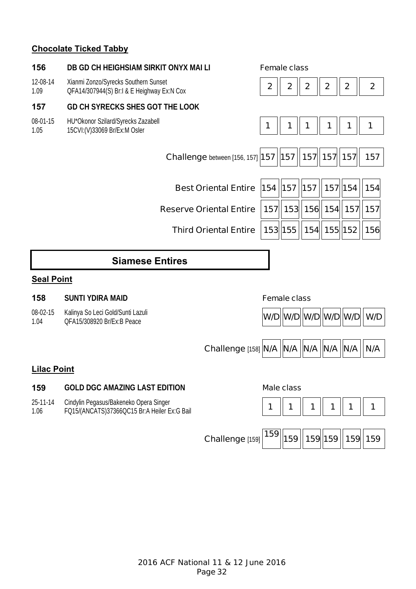### **Chocolate Ticked Tabby**

| 156                | DB GD CH HEIGHSIAM SIRKIT ONYX MAI LI                                                  |                                                      |              | <b>Female class</b> |                  |                  |                  |                     |
|--------------------|----------------------------------------------------------------------------------------|------------------------------------------------------|--------------|---------------------|------------------|------------------|------------------|---------------------|
| 12-08-14<br>1.09   | Xianmi Zonzo/Syrecks Southern Sunset<br>QFA14/307944(S) Br:I & E Heighway Ex:N Cox     |                                                      | $\mathbf{2}$ | $\boldsymbol{2}$    | $\boldsymbol{2}$ | $\boldsymbol{2}$ | $\boldsymbol{2}$ | $\mathbf{2}$        |
| 157                | <b>GD CH SYRECKS SHES GOT THE LOOK</b>                                                 |                                                      |              |                     |                  |                  |                  |                     |
| 08-01-15<br>1.05   | HU*Okonor Szilard/Syrecks Zazabell<br>15CVI: (V) 33069 Br/Ex: M Osler                  |                                                      | 1            | 1                   | 1                |                  | 1                | 1                   |
|                    |                                                                                        | Challenge between [156, 157] [157   157   157   157] |              |                     |                  |                  | 157              | 157                 |
|                    |                                                                                        | <b>Best Oriental Entire</b>                          | 154   157    |                     | 157              | 157 154          |                  | 154                 |
|                    |                                                                                        | <b>Reserve Oriental Entire</b>                       |              | 157 153             |                  | 156 154 157      |                  | 157                 |
|                    |                                                                                        | <b>Third Oriental Entire</b>                         |              | $153$   155         |                  | 154 155 152      |                  | 156                 |
|                    | <b>Siamese Entires</b>                                                                 |                                                      |              |                     |                  |                  |                  |                     |
| <b>Seal Point</b>  |                                                                                        |                                                      |              |                     |                  |                  |                  |                     |
| 158                | <b>SUNTI YDIRA MAID</b>                                                                |                                                      |              | <b>Female class</b> |                  |                  |                  |                     |
| 08-02-15<br>1.04   | Kalinya So Leci Gold/Sunti Lazuli<br>QFA15/308920 Br/Ex:B Peace                        |                                                      |              | W/D W/D W/D W/D W/D |                  |                  |                  | W/D                 |
|                    |                                                                                        | Challenge [158] N/A   N/A   N/A   N/A   N/A          |              |                     |                  |                  |                  | N/A                 |
| <b>Lilac Point</b> |                                                                                        |                                                      |              |                     |                  |                  |                  |                     |
| 159                | <b>GOLD DGC AMAZING LAST EDITION</b>                                                   |                                                      |              | <b>Male class</b>   |                  |                  |                  |                     |
| 25-11-14<br>1.06   | Cindylin Pegasus/Bakeneko Opera Singer<br>FQ15/(ANCATS)37366QC15 Br:A Heiler Ex:G Bail |                                                      | 1            |                     | 1                | 1                | 1                | 1                   |
|                    |                                                                                        | Challenge [159]                                      | 159          | 159                 |                  |                  |                  | 159 159   159   159 |
|                    |                                                                                        |                                                      |              |                     |                  |                  |                  |                     |
|                    |                                                                                        |                                                      |              |                     |                  |                  |                  |                     |
|                    |                                                                                        |                                                      |              |                     |                  |                  |                  |                     |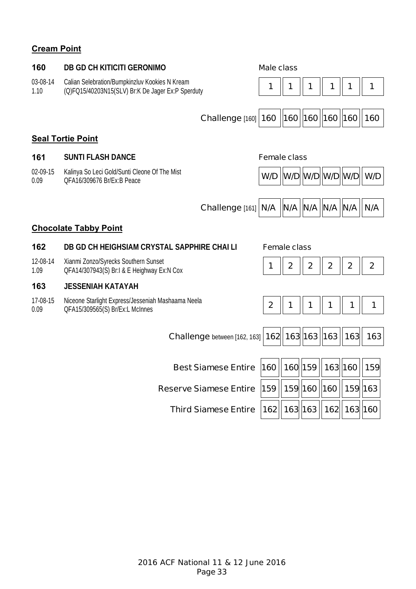# **Cream Point**

| 160              | <b>DB GD CH KITICITI GERONIMO</b>                                                                   | <b>Male class</b>   |                     |                       |              |             |                                         |  |
|------------------|-----------------------------------------------------------------------------------------------------|---------------------|---------------------|-----------------------|--------------|-------------|-----------------------------------------|--|
| 03-08-14<br>1.10 | Calian Selebration/Bumpkinzluv Kookies N Kream<br>(Q)FQ15/40203N15(SLV) Br:K De Jager Ex:P Sperduty | 1                   | 1                   | 1                     | 1            | 1           | 1                                       |  |
|                  | Challenge [160]                                                                                     | 160                 |                     | 160   160   160   160 |              |             | 160                                     |  |
|                  | <b>Seal Tortie Point</b>                                                                            |                     |                     |                       |              |             |                                         |  |
| 161              | <b>SUNTI FLASH DANCE</b>                                                                            | <b>Female class</b> |                     |                       |              |             |                                         |  |
| 02-09-15<br>0.09 | Kalinya So Leci Gold/Sunti Cleone Of The Mist<br>QFA16/309676 Br/Ex:B Peace                         | W/D                 |                     |                       |              |             | $ W/D $ $ W/D $ $ W/D $ $ W/D $ $ W/D $ |  |
|                  | Challenge [161]                                                                                     | N/A                 |                     | $N/A$ $ N/A $ $N/A$   |              | N/A         | N/A                                     |  |
|                  | <b>Chocolate Tabby Point</b>                                                                        |                     |                     |                       |              |             |                                         |  |
| 162              | DB GD CH HEIGHSIAM CRYSTAL SAPPHIRE CHAI LI                                                         |                     | <b>Female class</b> |                       |              |             |                                         |  |
| 12-08-14<br>1.09 | Xianmi Zonzo/Syrecks Southern Sunset<br>QFA14/307943(S) Br:I & E Heighway Ex:N Cox                  |                     | $\mathbf 2$         | $\overline{2}$        | $\mathbf{2}$ | $\mathbf 2$ | $\overline{2}$                          |  |
| 163              | <b>JESSENIAH KATAYAH</b>                                                                            |                     |                     |                       |              |             |                                         |  |
| 17-08-15<br>0.09 | Niceone Starlight Express/Jesseniah Mashaama Neela<br>QFA15/309565(S) Br/Ex:L McInnes               | $\boldsymbol{2}$    | 1                   | 1                     | 1            | 1           | 1                                       |  |
|                  |                                                                                                     |                     |                     |                       |              |             |                                         |  |
|                  | Challenge between [162, 163]   162   163   163    163                                               |                     |                     |                       |              | 163         | 163                                     |  |
|                  | <b>Best Siamese Entire</b>                                                                          | 160                 | 160 159             |                       | 163 160      |             | 159                                     |  |
|                  | <b>Reserve Siamese Entire</b>                                                                       | 159                 | 159 160             |                       | 160          | 159 163     |                                         |  |
|                  | <b>Third Siamese Entire</b>                                                                         |                     | 162  163  163       |                       |              | 162 163 160 |                                         |  |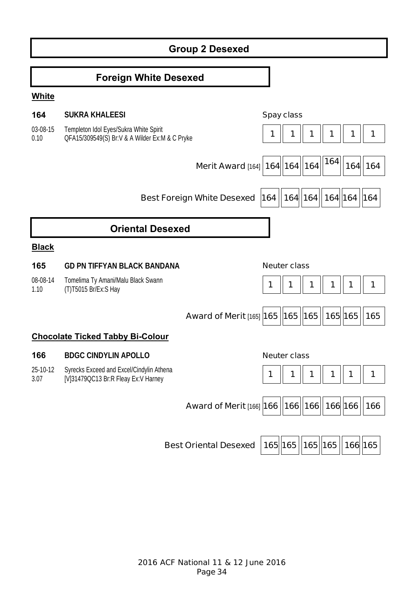# **Group 2 Desexed**

### **Foreign White Desexed**

#### **White**

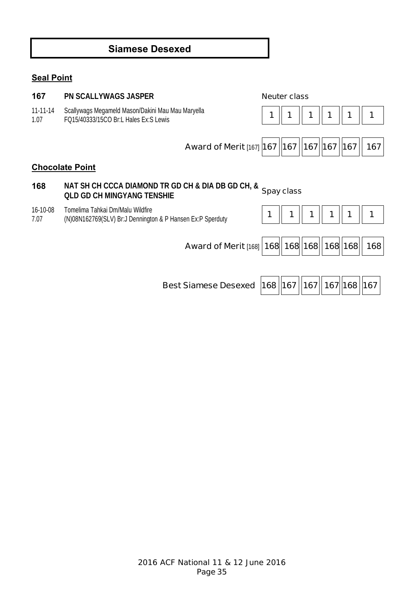# **Siamese Desexed**

# **Seal Point**

| 167                    | <b>PN SCALLYWAGS JASPER</b>                                                                       |           | <b>Neuter class</b> |           |     |     |
|------------------------|---------------------------------------------------------------------------------------------------|-----------|---------------------|-----------|-----|-----|
| $11 - 11 - 14$<br>1.07 | Scallywags Megameld Mason/Dakini Mau Mau Maryella<br>FQ15/40333/15CO Br:L Hales Ex:S Lewis        |           |                     |           |     |     |
|                        | Award of Merit [167] 167   167   167   167                                                        |           |                     |           | 167 | 167 |
|                        | <b>Chocolate Point</b>                                                                            |           |                     |           |     |     |
| 168                    | NAT SH CH CCCA DIAMOND TR GD CH & DIA DB GD CH, & Spay class<br><b>QLD GD CH MINGYANG TENSHIE</b> |           |                     |           |     |     |
| 16-10-08<br>7.07       | Tomelima Tahkai Dm/Malu Wildfire<br>(N)08N162769(SLV) Br:J Dennington & P Hansen Ex:P Sperduty    |           |                     |           |     |     |
|                        | Award of Merit [168] 168 168 168 168 168                                                          |           |                     |           |     | 168 |
|                        | <b>Best Siamese Desexed</b>                                                                       | 168   167 |                     | 167   167 | 168 | 167 |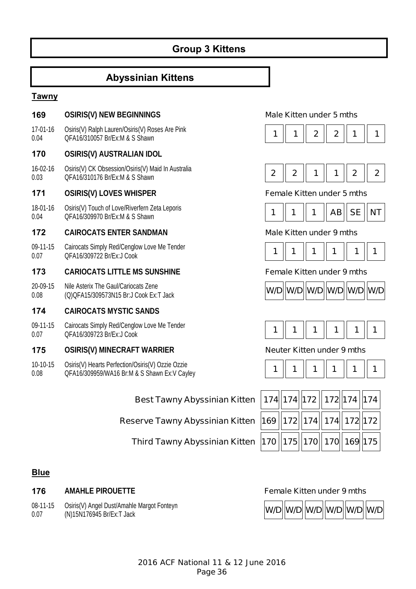# **Group 3 Kittens**

## **Abyssinian Kittens**

#### **Tawny**

#### **169 OSIRIS(V) NEW BEGINNINGS Male Kitten under 5 mths**

17-01-16 0.04 Osiris(V) Ralph Lauren/Osiris(V) Roses Are Pink  $QFA16/310057 Br/Ex:M & S Shawn$ <br> $QFA16/310057 Br/Ex:M & S Shawn$ 

#### **170 OSIRIS(V) AUSTRALIAN IDOL**

16-02-16 0.03 Osiris(V) CK Obsession/Osiris(V) Maid In Australia QFA16/310176 Br/Ex:M & S Shawn **2 2 1 1 2 2** 

#### **171 OSIRIS(V) LOVES WHISPER Female Kitten under 5 mths**

18-01-16 0.04 Osiris(V) Touch of Love/Riverfern Zeta Leporis

#### **172 CAIROCATS ENTER SANDMAN Male Kitten under 9 mths**

09-11-15 0.07 Cairocats Simply Red/Cenglow Love Me Tender QFA16/309722 Br/Ex:J Cook **1 1 1 1 1 1** 

#### **173 CARIOCATS LITTLE MS SUNSHINE Female Kitten under 9 mths**

20-09-15 0.08 Nile Asterix The Gaul/Cariocats Zene

#### **174 CAIROCATS MYSTIC SANDS**

09-11-15 0.07 Cairocats Simply Red/Cenglow Love Me Tender QFA16/309723 Br/Ex:J Cook **1 1 1 1 1 1** 

#### **175 OSIRIS(V) MINECRAFT WARRIER Neuter Kitten under 9 mths**

10-10-15 0.08 Osiris(V) Hearts Perfection/Osiris(V) Ozzie Ozzie Osiris(V) Hearts Perfection/Osiris(V) Ozzie Ozzie<br>QFA16/309959/WA16 Br:M & S Shawn Ex:V Cayley **1 1 1 1 1 1 1 1 1 1 1 1 1** 

### **Best Tawny Abyssinian Kitten**

### **Reserve Tawny Abyssinian Kitten**

### **Third Tawny Abyssinian Kitten |1**

|  | 174  174  172    172  174   174       |  |  |
|--|---------------------------------------|--|--|
|  | 69    172    174    174    172    172 |  |  |
|  | 70   175   170   170   169   175      |  |  |

### **Blue**

#### **176 •• AMAHLE PIROUETTE**

08-11-15 0.07 Osiris(V) Angel Dust/Amahle Margot Fonteyn















| <b>Female Kitten under 9 mths</b> |  |  |
|-----------------------------------|--|--|

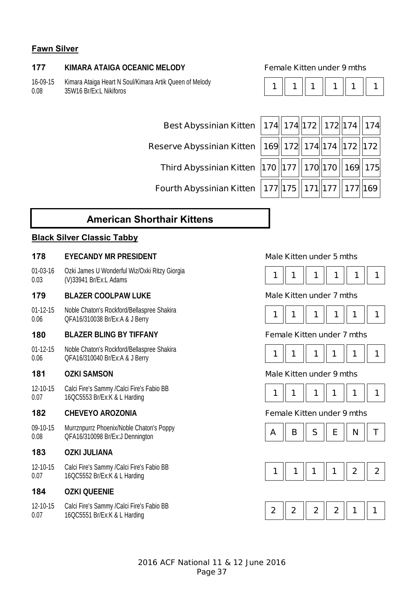# **Fawn Silver**

## **177 KIMARA ATAIGA OCEANIC MELODY Female Kitten under 9 mths**

16-09-15 0.08 Kimara Ataiga Heart N Soul/Kimara Artik Queen of Melody **1 | 1 | 1 | 1 | 1 | 1 | 1 | 1 | 1**<br>35W16 Br/Ex:L Nikiforos

|--|--|--|--|--|

| Best Abyssinian Kitten   174   174   172   172   174   174                                                              |  |  |  |
|-------------------------------------------------------------------------------------------------------------------------|--|--|--|
| Reserve Abyssinian Kitten $\, \big  169 \big\  172 \big\  174 \big\  174 \, \big\  172 \, \big\  172 \big\  172 \big\ $ |  |  |  |
| Third Abyssinian Kitten 170 177 170 170 169 169 175                                                                     |  |  |  |
| Fourth Abyssinian Kitten $\left  177 \right \left  175 \right \left  171 \right \left  177 \right \left  169 \right $   |  |  |  |

# **American Shorthair Kittens**

### **Black Silver Classic Tabby**

### **178 EYECANDY MR PRESIDENT Male Kitten under 5 mths**

01-03-16 0.03 Ozki James U Wonderful Wiz/Oxki Ritzy Giorgia V<sub>XN</sub> James 0 Wonderda WiziOXN Ritzy Glorgia<br>
(V)33941 Br/Ex:L Adams **1** 1 **1** 1 **1** 1 **1** 1 **1** 1 **1** 1 **1** 1

### **179 BLAZER COOLPAW LUKE Male Kitten under 7 mths**

01-12-15 0.06 Noble Chaton's Rockford/Bellaspree Shakira QFA16/310038 Br/Ex:A & J Berry **1 1 1 1 1 1** 

### **180 BLAZER BLING BY TIFFANY Female Kitten under 7 mths**

01-12-15 0.06 Noble Chaton's Rockford/Bellaspree Shakira

12-10-15 0.07 Calci Fire's Sammy /Calci Fire's Fabio BB

### **182 CHEVEYO AROZONIA Female Kitten under 9 mths**

09-10-15 0.08 Murrznpurrz Phoenix/Noble Chaton's Poppy

### **183 OZKI JULIANA**

12-10-15 0.07 Calci Fire's Sammy /Calci Fire's Fabio BB

### **184 OZKI QUEENIE**









### **181 OZKI SAMSON Male Kitten under 9 mths**







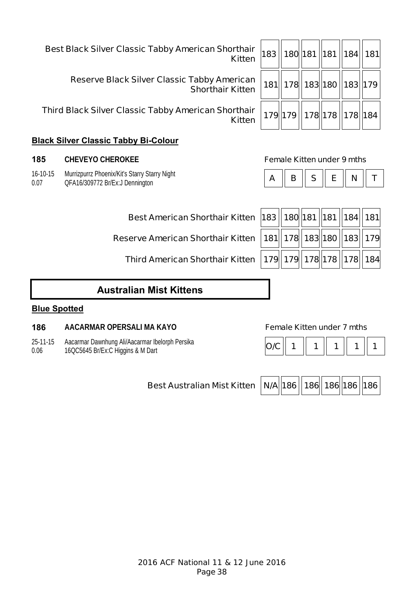| <b>prthair</b><br><b>Kitten</b> |  | 183    180  181   181   184   181 |  |
|---------------------------------|--|-----------------------------------|--|
| erican<br><b>Kitten</b>         |  | 181   178   183   180   183   179 |  |
| <b>orthair</b><br><b>Kitten</b> |  | 179  179  178  178  178  184      |  |

**Best Black Silver Classic Tabby American Shorthair** 

**Reserve Black Silver Classic Tabby American Shorthair Kitten** 

**Third Black Silver Classic Tabby American Shorthair** 

# **Black Silver Classic Tabby Bi-**

# **185 CHEVEYO CHEROKEE Female Kitten under 9 mths**

16-10-15 0.07 Murrizpurrz Phoenix/Kit's Starry Starry Night QFA16/309772 Br/Ex:J Dennington **A B B S E N T** 

**Best American Shorthair Kitten** 

**Reserve American Shorthair Kitten** 

**Third American Shorthair Kitten** 

| Ð | c | г. | N. |  |
|---|---|----|----|--|

| 83    180  181   181   184   181       |  |  |
|----------------------------------------|--|--|
| 181    178    183    180    183    179 |  |  |
| 179 179 178 178 178 184                |  |  |

# **Australian Mist Kittens**

# **Blue Spotted**

# **186 AACARMAR OPERSALI MA KAYO Female Kitten under 7 mths**

25-11-15 0.06 Aacarmar Dawnhung Ali/Aacarmar Ibelorph Persika Aacamian Dawiniung Ali/Aacamian Delorph Persika<br>16QC5645 Br/Ex:C Higgins & M Dart **O/C** | 1 | 1 | 1 | 1 | 1 | 1 | 1



|--|--|--|--|--|--|

| -Colour |  |  |
|---------|--|--|
|         |  |  |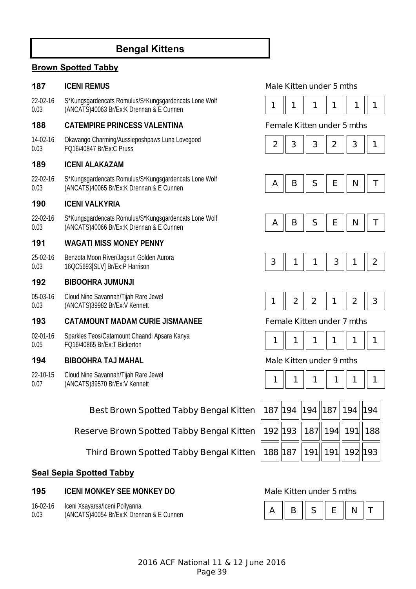# **Bengal Kittens**

# **Brown Spotted Tabby**

22-02-16 0.03 S\*Kungsgardencats Romulus/S\*Kungsgardencats Lone Wolf S Kungsgardencats Romulus/S Kungsgardencats Lone Wolf<br>(ANCATS)40063 Br/Ex:K Drennan & E Cunnen **1 1 1 | 1 | 1 | 1 | 1 | 1 | 1 | 1** | 1

## **188 CATEMPIRE PRINCESS VALENTINA Female Kitten under 5 mths**

14-02-16 0.03 Okavango Charming/Aussieposhpaws Luna Lovegood UKavango Chaming/Aussieposhpaws Luna Lovegood<br>FQ16/40847 Br/Ex:C Pruss **2** 2 2 3 **3 2 3 3 4 1** 

### **189 ICENI ALAKAZAM**

22-02-16 0.03 S\*Kungsgardencats Romulus/S\*Kungsgardencats Lone Wolf S Rangsgardencars Romanas/S Rangsgardencars Lone Women **A || B || S || E || N || T**<br>(ANCATS)40065 Br/Ex:K Drennan & E Cunnen

### **190 ICENI VALKYRIA**

22-02-16 0.03 S\*Kungsgardencats Romulus/S\*Kungsgardencats Lone Wolf  $\left[\begin{array}{c|c|c|c|c} \text{A} & \text{B} & \text{B} & \text{E} & \text{N} \end{array}\right]$  **N**  $\left[\begin{array}{c|c|c|c} \text{A} & \text{B} & \text{B} & \text{E} & \text{N} \end{array}\right]$  **N**  $\left[\begin{array}{c|c|c|c} \text{A} & \text{B} & \text{B} & \text{E} & \text{N} \end{array}\right]$  **N**  $\left[\begin{array}{c|c|c|c} \text{A} & \text{B} & \text{B} & \text{E} & \text{N}$ 

## **191 WAGATI MISS MONEY PENNY**

25-02-16 0.03 Benzota Moon River/Jagsun Golden Aurora

### **192 BIBOOHRA JUMUNJI**

05-03-16 0.03 Cloud Nine Savannah/Tijah Rare Jewel

## **193 CATAMOUNT MADAM CURIE JISMAANEE Female Kitten under 7 mths**

02-01-16 0.05 Sparkles Teos/Catamount Chaandi Apsara Kanya Sparkies Teos/Catalhount Chaanul Apsala Kariya<br>FO16/40865 Br/Fx:T Bickerton **1 1 1 1 1 1 1 1 1 1 1 1 1 1 1 1 1 1** 

### **194 BIBOOHRA TAJ MAHAL Male Kitten under 9 mths**

22-10-15 0.07 Cloud Nine Savannah/Tijah Rare Jewel

# **Best Brown Spotted Tabby Bengal Kitten**

**Reserve Brown Spotted Tabby Bengal Kitten** 

**Third Brown Spotted Tabby Bengal Kitten** 

## **Seal Sepia Spotted Tabby**

### **195 ICENI MONKEY SEE MONKEY DO Male Kitten under 5 mths**

16-02-16 Iceni Xsayarsa/Iceni Pollyanna

0.03

## **187 ICENI REMUS Male Kitten under 5 mths**

















|  | 187  194   194   187   194   194  |  |  |
|--|-----------------------------------|--|--|
|  | 192  193    187   194   191   188 |  |  |
|  | 188  187    191   191   192  193  |  |  |

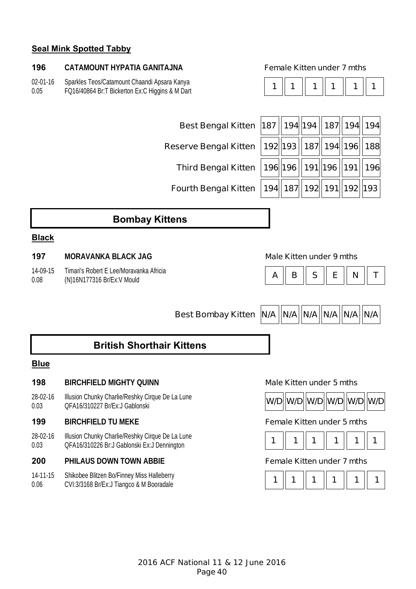# **Seal Mink Spotted Tabby**

### **196 CATAMOUNT HYPATIA GANITAJNA Female Kitten under 7 mths**

02-01-16 0.05 Sparkles Teos/Catamount Chaandi Apsara Kanya FQ16/40864 Br:T Bickerton Ex:C Higgins & M Dart

|--|--|--|--|--|

| Best Bengal Kitten 187    194    194    187    194    194                                                                      |  |  |  |
|--------------------------------------------------------------------------------------------------------------------------------|--|--|--|
| Reserve Bengal Kitten $\hspace{0.1cm} \big  192 \big\  193 \hspace{0.05cm} \big\  187 \big\  194 \big\  196 \big\  188 \big\ $ |  |  |  |
| Third Bengal Kitten  196  196   191  196   191  196                                                                            |  |  |  |
| Fourth Bengal Kitten  194 187 192 191 192 193                                                                                  |  |  |  |

# **Bombay Kittens**

### **Black**

### **197 MORAVANKA BLACK JAG Male Kitten under 9 mths**

14-09-15 0.08 Timari's Robert E Lee/Moravanka Africia



**Best Bombay Kitten | N/A | N/A | N/A | N/A | N/A | N/A | N/A** 

# **British Shorthair Kittens**

# **Blue**

### **198 BIRCHFIELD MIGHTY QUINN Male Kitten under 5 mths**

28-02-16 0.03 Illusion Chunky Charlie/Reshky Cirque De La Lune musion chanky Chanle/Reshky Clique De La Lune<br>QFA16/310227 Br/Ex:J Gablonski **W/D W/D W/D W/D W/D W/D W/D W/D** 

## **199 BIRCHFIELD TU MEKE Female Kitten under 5 mths**

28-02-16 0.03 Illusion Chunky Charlie/Reshky Cirque De La Lune niusion Churiky Chamerkeshky Clique De La Lurie<br>QFA16/310226 Br:J Gablonski Ex:J Dennington **1 1 | 1 | 1 | 1 | 1 | 1 | 1 | 1** | 1

### **200 PHILAUS DOWN TOWN ABBIE Female Kitten under 7 mths**

14-11-15 0.06 Shikobee Blitzen Bo/Finney Miss Halleberry





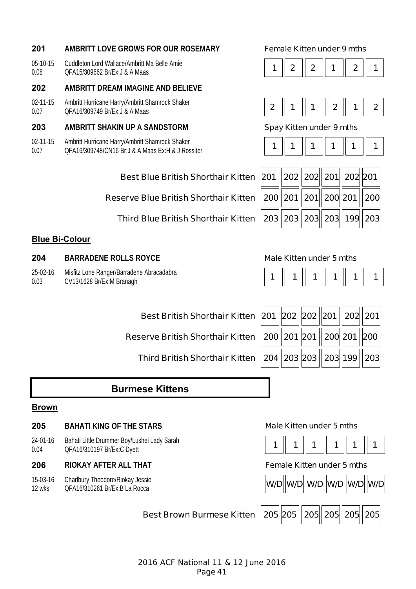# **201 AMBRITT LOVE GROWS FOR OUR ROSEMARY Female Kitten under 9 mths**

05-10-15 0.08 Cuddleton Lord Wallace/Ambritt Ma Belle Amie Cuddieton Lord Wallace/Ambrit Wallace Amle<br>QFA15/309662 Br/Ex:J & A Maas **1 2 2 2 2 2 2 2 2 2 2 2 2 2 2 2 2 1 1** 

# **202 AMBRITT DREAM IMAGINE AND BELIEVE**

02-11-15 0.07 Ambritt Hurricane Harry/Ambritt Shamrock Shaker Ambrid Hamcane Harry/Ambrid Shamrock Shaker<br>QFA16/309749 Br/Ex:J & A Maas

# **203 AMBRITT SHAKIN UP A SANDSTORM Spay Kitten under 9 mths**

02-11-15 0.07 Ambritt Hurricane Harry/Ambritt Shamrock Shaker QFA16/309748/CN16 Br:J & A Maas Ex:H & J Rossiter **1 1 1 1 1 1** 

# **Best Blue British Shorthair Kitten**

**Reserve Blue British Shorthair Kitten** 

**Third Blue British Shorthair Kitten** 

# **Blue Bi-Colour**

- **204 BARRADENE ROLLS ROYCE Male Kitten under 5 mths**
- 25-02-16 Misfitz Lone Ranger/Barradene Abracadabra
- 0.03 CV13/1628 Br/Ex:M Branagh **1 1 1 1 1 1**

**Best British Shorthair Kitten** 

**Reserve British Shorthair Kitten** 

**Third British Shorthair Kitten** 

|  | 201   202   202   201    202   201 |  |  |
|--|------------------------------------|--|--|
|  | 200  201  201   200  201   200     |  |  |
|  | 204 203 203 203 199 203            |  |  |

# **Burmese Kittens**

### **Brown**

### **205 BAHATI KING OF THE STARS Male Kitten under 5 mths**

24-01-16 0.04 Bahati Little Drummer Boy/Lushei Lady Sarah **Danial Little Digital Holyn Little Digital Laure Digital Laure Digital Laure Digital Laure Digital Laure Digital Laure Digital Laure Digital Laure Digital Laure Digital Laure Digital Laure Digital Laure Digital Laure Digi** 

## **206 RIOKAY AFTER ALL THAT Female Kitten under 5 mths**

15-03-16 12 wks Charlbury Theodore/Riokay Jessie













|--|--|--|--|--|--|

| 201    202   202   201   202   201                    |  |  |
|-------------------------------------------------------|--|--|
| 200 $  $ 201 $  $ 201 $  $ 200 $  $ 201 $  $ 200 $ $  |  |  |
| 203 $\ $ 203 $\ $ 203 $\ $ 203 $\ $ 199 $\ $ 203 $\ $ |  |  |

|--|--|--|--|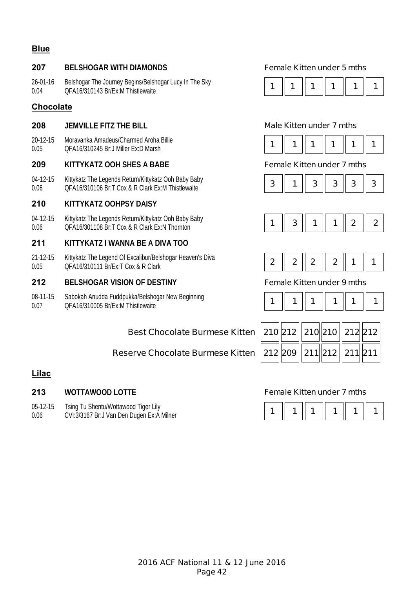# **Blue**

# **207 BELSHOGAR WITH DIAMONDS Female Kitten under 5 mths**

26-01-16 0.04 Belshogar The Journey Begins/Belshogar Lucy In The Sky QFA16/310143 Br/Ex:M Thistlewaite **1 1 1 1 1 1** 

# **Chocolate**

## **208 JEMVILLE FITZ THE BILL Male Kitten under 7 mths**

20-12-15 0.05 Moravanka Amadeus/Charmed Aroha Billie

## **209 KITTYKATZ OOH SHES A BABE Female Kitten under 7 mths**

04-12-15 0.06 Kittykatz The Legends Return/Kittykatz Ooh Baby Baby QFA16/310106 Br:T Cox & R Clark Ex:M Thistlewaite **3 1 3 3 3 3** 

# **210 KITTYKATZ OOHPSY DAISY**

04-12-15 0.06 Kittykatz The Legends Return/Kittykatz Ooh Baby Baby NitryKatz The Legends Netarli/NitryKatz Ooli Daby Daby<br>QFA16/301108 Br:T Cox & R Clark Ex:N Thornton **1 1 2 1 2 1 2 1 2 1 2 1 2** 

## **211 KITTYKATZ I WANNA BE A DIVA TOO**

21-12-15 0.05 Kittykatz The Legend Of Excalibur/Belshogar Heaven's Diva QFA16/310111 Br/Ex:T Cox & R Clark **2 2 2 2 1 1** 

### **212 BELSHOGAR VISION OF DESTINY Female Kitten under 9 mths**

08-11-15 0.07 Sabokah Anudda Fuddpukka/Belshogar New Beginning Sabokan Anddda'i dddpdkka/beishogar New Degmining<br>OFA16/310005 Br/Ex:M Thistlewaite **1 1 1 1 1 1 1 1 1 1 1 1 1 1 1 1 1** 

# **Best Chocolate Burmese Kitten 210 212 210 210 212 212**

# **Reserve Chocolate Burmese Kitten 212 209 211 212 211 211**

# **Lilac**

### **213 WOTTAWOOD LOTTE Female Kitten under 7 mths**

- 05-12-15 Tsing Tu Shentu/Wottawood Tiger Lily
- 0.06















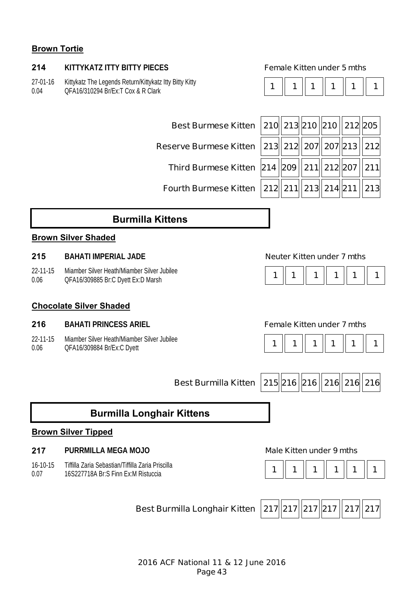# **Brown Tortie**

# **214 KITTYKATZ ITTY BITTY PIECES Female Kitten under 5 mths**

27-01-16 0.04 Kittykatz The Legends Return/Kittykatz Itty Bitty Kitty QFA16/310294 Br/Ex:T Cox & R Clark **1 1 1 1 1 1** 

|--|

**Reserve Burmese Kitten** 

| Best Burmese Kitten 210 213 210 210 210 212 205                                  |  |  |  |
|----------------------------------------------------------------------------------|--|--|--|
| eserve Burmese Kitten $\,$ 213 $\,$ 212 $\,$ 207 $\,$ 207 $\,$ 213 $\,$ 212 $\,$ |  |  |  |
| Third Burmese Kitten $ 214  209  211  212  207  211 $                            |  |  |  |
| Fourth Burmese Kitten 212 211 213 214 211 213                                    |  |  |  |

# **Burmilla Kittens**

# **Brown Silver Shaded**

### **215 BAHATI IMPERIAL JADE Neuter Kitten under 7 mths**

22-11-15 0.06 Miamber Silver Heath/Miamber Silver Jubilee

# **Chocolate Silver Shaded**

### **216 BAHATI PRINCESS ARIEL Female Kitten under 7 mths**

22-11-15 0.06 Miamber Silver Heath/Miamber Silver Jubilee





**Best Burmilla Kitten 215 216 216 216 216 216** 

# **Burmilla Longhair Kittens**

### **Brown Silver Tipped**

# **217 PURRMILLA MEGA MOJO Male Kitten under 9 mths**

16-10-15 0.07 Tiffilla Zaria Sebastian/Tiffilla Zaria Priscilla



**Best Burmilla Longhair Kitten 217 217 217 217 217 217** 

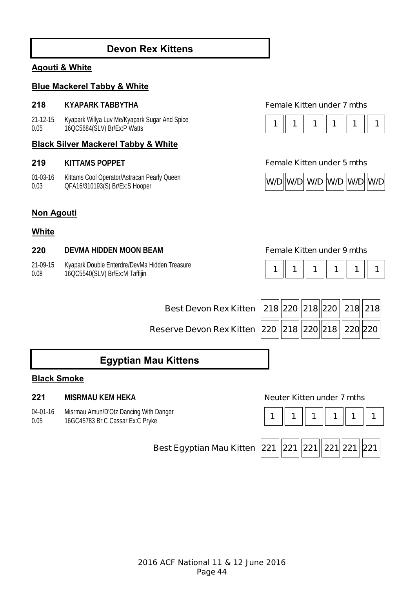# **Devon Rex Kittens**

# **Agouti & White**

# **Blue Mackerel Tabby & White**

### **218 KYAPARK TABBYTHA Female Kitten under 7 mths**

21-12-15 0.05 Kyapark Willya Luv Me/Kyapark Sugar And Spice Ryapark williya Luv Me/Ryapark Sugal And Spice<br>16QC5684(SLV) Br/Ex:P Watts **1 1 1 1 1 1 1 1 1 1 1 1 1 1 1 1 1 1** 1 **1** 

## **Black Silver Mackerel Tabby & White**

01-03-16 0.03 Kittams Cool Operator/Astracan Pearly Queen



### **219 KITTAMS POPPET Female Kitten under 5 mths**



# **Non Agouti**

### **White**

## **220 DEVMA HIDDEN MOON BEAM Female Kitten under 9 mths**

21-09-15 0.08 Kyapark Double Enterdre/DevMa Hidden Treasure 16QC5540(SLV) Br/Ex:M Taffijin

|--|--|--|--|

**Reserve Devon Rex Kitten 22** 

| Best Devon Rex Kitten $\,\bigl 218\bigr \bigl 220\bigr \bigl 218\bigr \bigl 220\,\bigl \bigl 218\bigr \bigl 218\bigr $ 218 $\bigl $ |  |  |  |
|-------------------------------------------------------------------------------------------------------------------------------------|--|--|--|
| erve Devon Rex Kitten $\,\big 220\,\big\ 218\big\ 220\big\ 218\,\big\ 220\big\ 220\big\ 2$                                          |  |  |  |

# **Egyptian Mau Kittens**

# **Black Smoke**

## **221 MISRMAU KEM HEKA Neuter Kitten under 7 mths**

04-01-16 Misrmau Amun/D'Otz Dancing With Danger

0.05



**Best Egyptian Mau Kitten 221 221 221 221 221 221**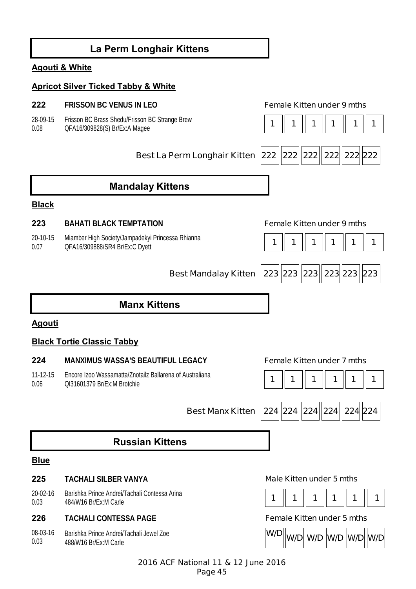# **La Perm Longhair Kittens Agouti & White Apricot Silver Ticked Tabby & White 222 FRISSON BC VENUS IN LEO Female Kitten under 9 mths** 28-09-15 0.08 Frisson BC Brass Shedu/Frisson BC Strange Brew Prisson BC Brass Sheudrrisson BC Strange Brew<br>QFA16/309828(S) Br/Ex:A Magee **1 1 1 1 1 1 1 1 1 1 1 1 1 1 1 Best La Perm Longhair Kitten 222 222 222 222 222 222 222 Mandalay Kittens Black 223 BAHATI BLACK TEMPTATION Female Kitten under 9 mths** 20-10-15 0.07 Miamber High Society/Jampadekyi Princessa Rhianna QFA16/309888/SR4 Br/Ex:C Dyett **1 1 1 1 1 1 Best Mandalay Kitten 223 223 223 223 223 223 Manx Kittens Agouti Black Tortie Classic Tabby 224 MANXIMUS WASSA'S BEAUTIFUL LEGACY Female Kitten under 7 mths** 11-12-15 0.06 Encore Izoo Wassamatta/Znotailz Ballarena of Australiana QI31601379 Br/Ex:M Brotchie **1 1 1 1 1 1 Best Manx Kitten 224 224 224 224 224 224 Russian Kittens Blue 225 TACHALI SILBER VANYA Male Kitten under 5 mths** 20-02-16 0.03 Barishka Prince Andrei/Tachali Contessa Arina 484/W16 Br/Ex:M Carle **1 1 1 1 1 1 226 TACHALI CONTESSA PAGE Female Kitten under 5 mths** 08-03-16 0.03 Barishka Prince Andrei/Tachali Jewel Zoe 488/W16 Br/Ex:M Carle **W/D W/D W/D W/D W/D W/D**

2016 ACF National 11 & 12 June 2016 Page 45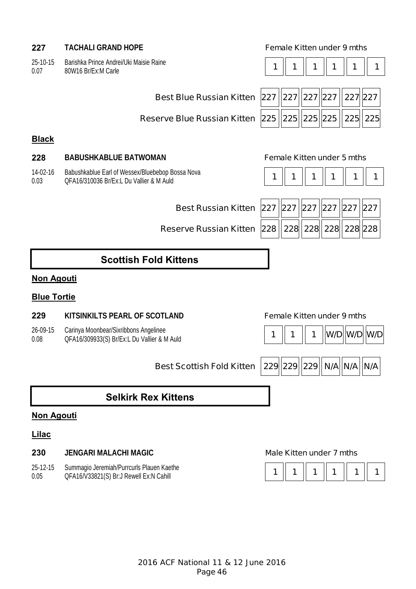# **227 TACHALI GRAND HOPE Female Kitten under 9 mths**

25-10-15 0.07 Barishka Prince Andrei/Uki Maisie Raine

| Barishka Prince Andrei/Uki Maisie Raine<br>80W16 Br/Ex:M Carle | $\parallel$ 1 $\parallel$ | 1 1 1 1 | $\parallel$ |
|----------------------------------------------------------------|---------------------------|---------|-------------|
|                                                                |                           |         |             |

| <b>Best Blue Russian Kitter</b> |
|---------------------------------|
|                                 |

| Best Blue Russian Kitten $\sqrt{227  227  227  227  227  227  }$ |  |  |  |
|------------------------------------------------------------------|--|--|--|
|                                                                  |  |  |  |

# **Black**

## **228 BABUSHKABLUE BATWOMAN Female Kitten under 5 mths**

14-02-16 0.03 Babushkablue Earl of Wessex/Bluebebop Bossa Nova Babushkablue Earl of Wessex/Bluebebop Bossa Nova<br>OFA16/310036 Br/Ex:L Du Vallier & M Auld **1 1 1 1 1 1 1 1 1 1 1 1 1 1 1 1 1** 

**Best Russian Kitten** 

**Reserve Russian Kitten 228 228 228 228 228 228** 

|  |  |  |  | 227   227   227   227   227   227 |  |  |
|--|--|--|--|-----------------------------------|--|--|
|  |  |  |  |                                   |  |  |
|  |  |  |  |                                   |  |  |

# **Scottish Fold Kittens**

# **Non Agouti**

# **Blue Tortie**

## **229 KITSINKILTS PEARL OF SCOTLAND Female Kitten under 9 mths**

26-09-15 Carinya Moonbear/Sixribbons Angelinee

0.08



**Best Scottish Fold Kitten | 229 229 229 N/A N/A N/A N/A** 

# **Selkirk Rex Kittens**

# **Non Agouti**

### **Lilac**

# **230 JENGARI MALACHI MAGIC Male Kitten under 7 mths**

25-12-15 0.05 Summagio Jeremiah/Purrcurls Plauen Kaethe

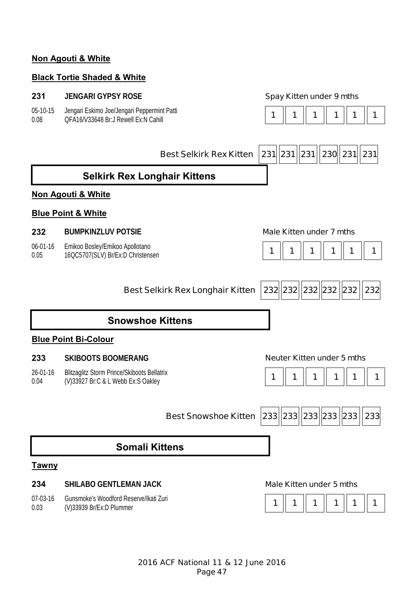# **Non Agouti & White**

# **Black Tortie Shaded & White**

# **231 JENGARI GYPSY ROSE Spay Kitten under 9 mths**

05-10-15 0.08 Jengari Eskimo Joe/Jengari Peppermint Patti

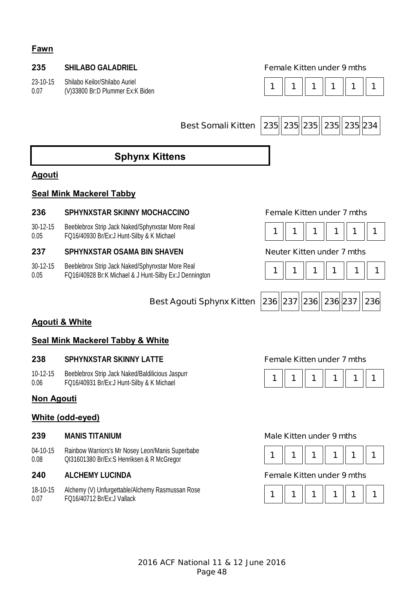# **Fawn**

# **235 SHILABO GALADRIEL Female Kitten under 9 mths**

23-10-15 0.07 Shilabo Keilor/Shilabo Auriel



**Best Somali Kitten 235 235 235 235 235 234** 

# **Sphynx Kittens**

# **Agouti**

# **Seal Mink Mackerel Tabby**

## **236 SPHYNXSTAR SKINNY MOCHACCINO Female Kitten under 7 mths**

30-12-15 0.05 Beeblebrox Strip Jack Naked/Sphynxstar More Real Beebieblux Stilp Jack Naked/Spriyitxstal Mule Real **1 1 1 1 1 1 1 1 1 1 1 1 1 1 1 1 1 1** 1 **1** 1 **1** 

# **237 SPHYNXSTAR OSAMA BIN SHAVEN Neuter Kitten under 7 mths**

30-12-15 0.05 Beeblebrox Strip Jack Naked/Sphynxstar More Real  $FQ16/40928$  Br:K Michael & J Hunt-Silby Ex:J Dennington **1 1 1 1 1 1 1 1 1 1 1 1 1 1 1 1 1** 1 **1** 







# **Agouti & White**

# **Seal Mink Mackerel Tabby & White**

### **238 SPHYNXSTAR SKINNY LATTE Female Kitten under 7 mths**

10-12-15 0.06 Beeblebrox Strip Jack Naked/Baldilicious Jaspurr

# **Non Agouti**

# **White (odd-eyed)**

04-10-15 0.08 Rainbow Warriors's Mr Nosey Leon/Manis Superbabe Rallibow warriors s Mr Nosey Leon/Mariis Superbable<br>QI31601380 Br/Ex:S Henriksen & R McGregor **1 1 | 1 | 1 | 1 | 1 | 1 | 1 | 1** | 1

18-10-15 0.07 Alchemy (V) Unfurgettable/Alchemy Rasmussan Rose FQ16/40712 Br/Ex:J Vallack **1 1 1 1 1 1** 



### **239 MANIS TITANIUM Male Kitten under 9 mths**



### **240 ALCHEMY LUCINDA Female Kitten under 9 mths**

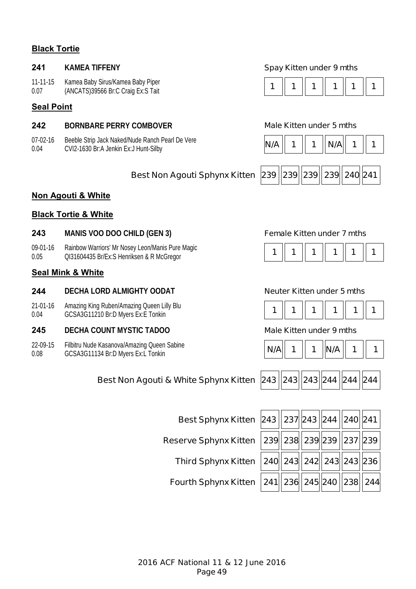# **Black Tortie**

11-11-15 0.07 Kamea Baby Sirus/Kamea Baby Piper

# **Seal Point**

# **242 BORNBARE PERRY COMBOVER Male Kitten under 5 mths**

07-02-16 0.04 Beeble Strip Jack Naked/Nude Ranch Pearl De Vere Deeple Strip Jack Naked/Nude Raficil Pearl De vere<br>CVI2-1630 Br:A Jenkin Ex:J Hunt-Silby **N/A | 1** | 1 **| N/A | 1 | N/A** | 1 **| 1** | 1

### **241 KAMEA TIFFENY Spay Kitten under 9 mths**





# **Best Non Agouti Sphynx Kitten 239 239 239 239 240 241**

## **Non Agouti & White**

## **Black Tortie & White**

### **243 MANIS VOO DOO CHILD (GEN 3) Female Kitten under 7 mths**

09-01-16 0.05 Rainbow Warriors' Mr Nosey Leon/Manis Pure Magic Ralibow warriors will nosey Leon/Mariis Pule Magic<br>QI31604435 Br/Ex:S Henriksen & R McGregor **1 1 | 1 | 1 | 1 | 1 | 1 | 1 | 1** | 1

# **Seal Mink & White**

## **244 DECHA LORD ALMIGHTY OODAT Neuter Kitten under 5 mths**

21-01-16 0.04 Amazing King Ruben/Amazing Queen Lilly Blu Amazing King Ruben/Amazing Queen Lilly Blu<br>GCSA3G11210 Br:D Myers Ex:E Tonkin **1 1 1 1 1 1 1 1 1 1 1 1 1 1 1 1 1** 1

### **245 DECHA COUNT MYSTIC TADOO Male Kitten under 9 mths**

22-09-15 0.08 Filbitru Nude Kasanova/Amazing Queen Sabine







|  | 243   243  243  244   244   244 |  |  |  |  |
|--|---------------------------------|--|--|--|--|
|--|---------------------------------|--|--|--|--|

**Reserve Sphynx Kitten** 

**Best Non Agouti & White Sphynx Kitten** 

| urth Sphynx Kitten 241 |  |
|------------------------|--|

| Best Sphynx Kitten $ 243  237 243  244  240  241 $                                                                             |  |  |  |
|--------------------------------------------------------------------------------------------------------------------------------|--|--|--|
| eserve Sphynx Kitten $\,$ 239 $\parallel$ 238 $\parallel$ 239 $\parallel$ 239 $\parallel$ 237 $\parallel$ 239 $\parallel$      |  |  |  |
| Third Sphynx Kitten $ 240  243  242  243  243  236 $                                                                           |  |  |  |
| Fourth Sphynx Kitten $\,{} \,241 \overline \,236 \overline \,245 \overline \,240\,\overline \,238 \overline \,244\overline \,$ |  |  |  |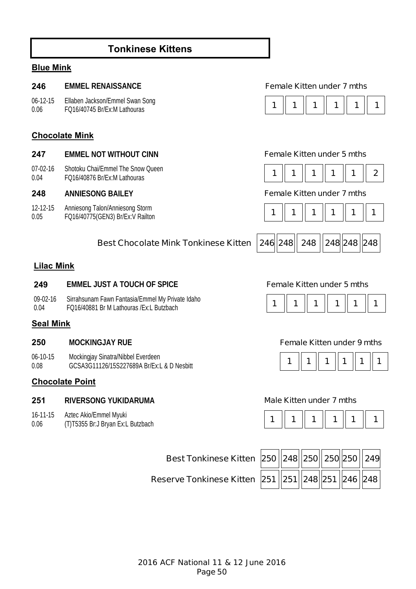# **Tonkinese Kittens**

# **Blue Mink**

### **246 EMMEL RENAISSANCE Female Kitten under 7 mths**

06-12-15 0.06 Ellaben Jackson/Emmel Swan Song

# **Chocolate Mink**

| 247 |  | <b>EMMEL NOT WITHOUT CINN</b> |  |
|-----|--|-------------------------------|--|
|     |  |                               |  |

07-02-16 0.04 Shotoku Chai/Emmel The Snow Queen **FQ16/40876 Br/Ex:M Lathouras** 

12-12-15 0.05 Anniesong Talon/Anniesong Storm

# **Best Chocolate Mink Tonkinese Kitten 246 248 248 248 248 248**

# **Lilac Mink**

### **249 EMMEL JUST A TOUCH OF SPICE Female Kitten under 5 mths**

09-02-16 0.04 Sirrahsunam Fawn Fantasia/Emmel My Private Idaho Sirialisulialli Fawli Falliasia/Ellilliel My Private Idalio<br>FO16/40881 Br M Lathouras /Ex:L Butzbach **1 1 1 1 1 1 1 1 1 1 1 1 1 1 1 1 1 1** 1

### **Seal Mink**

06-10-15 0.08 Mockingjay Sinatra/Nibbel Everdeen GCSA3G11126/15S227689A Br/Ex:L & D Nesbitt **<sup>1</sup> 1 1 1 1 1** 

### **Chocolate Point**

# **251 RIVERSONG YUKIDARUMA Male Kitten under 7 mths**

- 16-11-15 Aztec Akio/Emmel Myuki
- 0.06



## **247 Female Kitten under 5 mths**

|--|

## **248 ANNIESONG BAILEY Female Kitten under 7 mths**







# **250 MOCKINGJAY RUE Female Kitten under 9 mths**





| Best Tonkinese Kitten $\vert$ 250 $\vert \vert$ 248 $\vert \vert$ 250 $\vert \vert$ 250 $\vert \vert$ 250 $\vert \vert$ 249 $\vert$ |  |  |  |
|-------------------------------------------------------------------------------------------------------------------------------------|--|--|--|
| Reserve Tonkinese Kitten $\,\big 251\,\big\ 251\,\big\ 248\,\big\ 251\,\big\ 246\,\big\ 248\,\big\ $                                |  |  |  |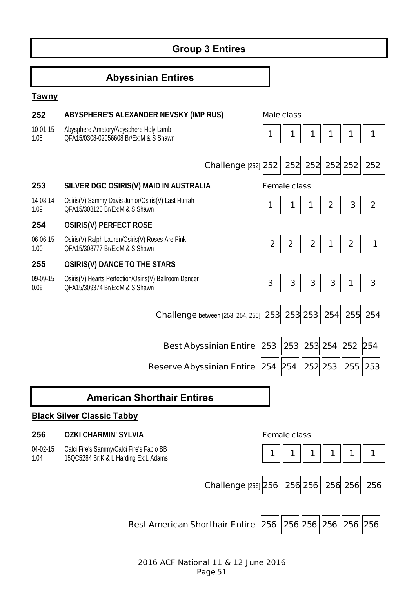# **Group 3 Entires**

# **Abyssinian Entires**

# **Tawny**

| 252              | ABYSPHERE'S ALEXANDER NEVSKY (IMP RUS)                                                  |                   | <b>Male class</b>   |                  |                         |               |              |
|------------------|-----------------------------------------------------------------------------------------|-------------------|---------------------|------------------|-------------------------|---------------|--------------|
| 10-01-15<br>1.05 | Abysphere Amatory/Abysphere Holy Lamb<br>OFA15/0308-02056608 Br/Ex:M & S Shawn          | 1                 | 1                   | 1                | 1                       | 1             | 1            |
|                  | <b>Challenge [252] 252</b>                                                              |                   |                     | 252 252          | 252 252                 |               | 252          |
| 253              | SILVER DGC OSIRIS(V) MAID IN AUSTRALIA                                                  |                   | <b>Female class</b> |                  |                         |               |              |
| 14-08-14<br>1.09 | Osiris(V) Sammy Davis Junior/Osiris(V) Last Hurrah<br>QFA15/308120 Br/Ex:M & S Shawn    | 1                 |                     |                  | $\overline{\mathbf{2}}$ | 3             | $\mathbf{2}$ |
| 254              | <b>OSIRIS(V) PERFECT ROSE</b>                                                           |                   |                     |                  |                         |               |              |
| 06-06-15<br>1.00 | Osiris(V) Ralph Lauren/Osiris(V) Roses Are Pink<br>QFA15/308777 Br/Ex:M & S Shawn       | $\mathbf{2}$      | $\boldsymbol{2}$    | $\boldsymbol{2}$ | 1                       | $\mathbf 2$   | 1            |
| 255              | <b>OSIRIS(V) DANCE TO THE STARS</b>                                                     |                   |                     |                  |                         |               |              |
| 09-09-15<br>0.09 | Osiris(V) Hearts Perfection/Osiris(V) Ballroom Dancer<br>OFA15/309374 Br/Ex:M & S Shawn | 3                 | 3                   | $\mathbf{3}$     | 3                       | 1             | 3            |
|                  | <b>Challenge</b> between [253, 254, 255] <b>253</b>                                     |                   |                     | 253 253          |                         | 254  255  254 |              |
|                  |                                                                                         |                   |                     |                  |                         |               |              |
|                  | <b>Best Abyssinian Entire</b>                                                           | 253               | 253                 |                  | 253 254                 | $252$ 254     |              |
|                  | <b>Reserve Abyssinian Entire</b>                                                        | 254   254         |                     | 252 253          |                         |               | 255 253      |
|                  | <b>American Shorthair Entires</b>                                                       |                   |                     |                  |                         |               |              |
|                  | <b>Black Silver Classic Tabby</b>                                                       |                   |                     |                  |                         |               |              |
| 256              | <b>OZKI CHARMIN' SYLVIA</b>                                                             |                   | <b>Female class</b> |                  |                         |               |              |
| 04-02-15<br>1.04 | Calci Fire's Sammy/Calci Fire's Fabio BB<br>15QC5284 Br:K & L Harding Ex:L Adams        | 1                 | 1                   |                  | 1                       |               | 1            |
|                  |                                                                                         |                   |                     | 256 256          |                         |               | 256          |
|                  | <b>Challenge [256] 256</b>                                                              |                   |                     |                  |                         | 256 256       |              |
|                  |                                                                                         |                   |                     |                  |                         |               |              |
|                  | <b>Best American Shorthair Entire</b>                                                   | 256   256 256 256 |                     |                  |                         | 256 256       |              |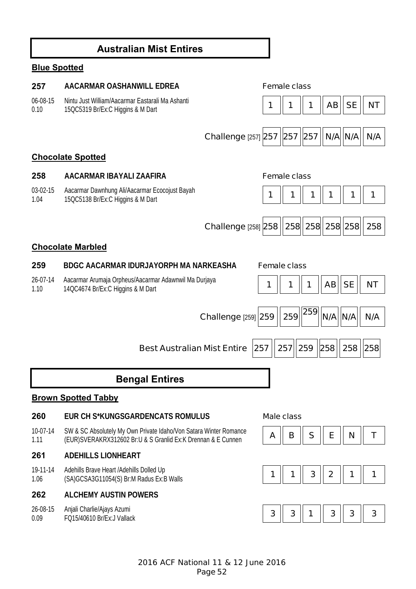# **Australian Mist Entires**

# **Blue Spotted**

# **257 AACARMAR OASHANWILL EDREA Female class** 06-08-15 0.10 Nintu Just William/Aacarmar Eastarali Ma Ashanti 150C5319 Br/Ex:C Higgins & M Dart **15QC5319 Br/Ex:C Higgins & M Dart 1** 1 **1** 1 **1** 1 **1** 1 **1 1 AB SE NT Challenge [257] 257 | 257 | 257 | N/A N/A | N/A Chocolate Spotted 258 AACARMAR IBAYALI ZAAFIRA Female class** 03-02-15 1.04 Aacarmar Dawnhung Ali/Aacarmar Ecocojust Bayah 15QC5138 Br/Ex:C Higgins & M Dart **1 1 1 1 1 1 Challenge** [258] **258 258 258 258 258 258 Chocolate Marbled 259 BDGC AACARMAR IDURJAYORPH MA NARKEASHA Female class** 26-07-14 1.10 Aacarmar Arumaja Orpheus/Aacarmar Adawnwil Ma Durjaya Aacamian Arumaja Orpheus/Aacamian Auawinwin wa Durjaya<br>14QC4674 Br/Ex:C Higgins & M Dart **1 1 1 1 1 1 1 1 1 1 1 || 1 || NT Challenge** [259] **259 259 <sup>259</sup> N/A N/A | N/A Best Australian Mist Entire 257 257 259 258 258 258 Bengal Entires Brown Spotted Tabby 260 EUR CH S\*KUNGSGARDENCATS ROMULUS Male class** 10-07-14 1.11 SW & SC Absolutely My Own Private Idaho/Von Satara Winter Romance SW & SC ADSORITERY MY OWN PHYate Rando VON Satara Willier Romance<br>(EUR)SVERAKRX312602 Br:U & S Granlid Ex:K Drennan & E Cunnen **A A A A B B B B B B E A B F 261 ADEHILLS LIONHEART**  19-11-14 1.06 Adehills Brave Heart /Adehills Dolled Up Aderinis Brave Heart Aderinis Dolled Up<br>(SA)GCSA3G11054(S) Br:M Radus Ex:B Walls **1** 1 1 1 3 **1 2** 1 1 **262 ALCHEMY AUSTIN POWERS**  26-08-15 0.09 Anjali Charlie/Ajays Azumi FQ15/40610 Br/Ex:J Vallack **3 3 1 3 3 3**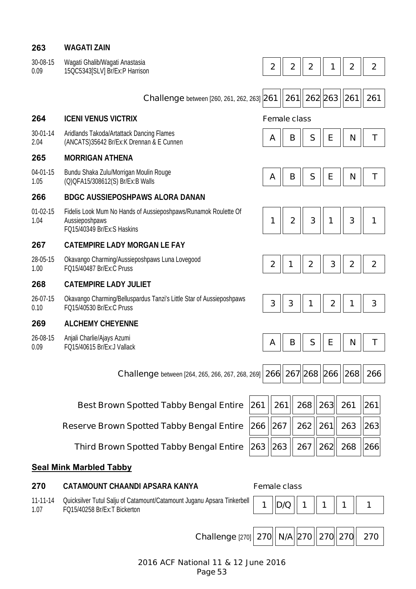## **263 WAGATI ZAIN**

| 30-08-15 | Wagati Ghalib/Wagati Anastasia |
|----------|--------------------------------|
| 0.09     | 15QC5343[SLV] Br/Ex:P Harrison |

| 30-08-15<br>0.09   | Wagati Ghalib/Wagati Anastasia<br>15QC5343[SLV] Br/Ex:P Harrison                                                |     | $\mathbf 2$ | $\mathbf{2}$        | $\boldsymbol{2}$ |             | $\boldsymbol{2}$ | $\boldsymbol{2}$ |
|--------------------|-----------------------------------------------------------------------------------------------------------------|-----|-------------|---------------------|------------------|-------------|------------------|------------------|
|                    |                                                                                                                 |     |             |                     |                  |             |                  |                  |
|                    | <b>Challenge</b> between [260, 261, 262, 263] 261                                                               |     |             | 261                 | 262 263          |             | 261              | 261              |
| 264                | <b>ICENI VENUS VICTRIX</b>                                                                                      |     |             | <b>Female class</b> |                  |             |                  |                  |
| 30-01-14<br>2.04   | Aridlands Takoda/Artattack Dancing Flames<br>(ANCATS)35642 Br/Ex:K Drennan & E Cunnen                           |     | A           | B                   | S                | E           | N                | Τ                |
| 265                | <b>MORRIGAN ATHENA</b>                                                                                          |     |             |                     |                  |             |                  |                  |
| 04-01-15<br>1.05   | Bundu Shaka Zulu/Morrigan Moulin Rouge<br>(Q) QFA15/308612(S) Br/Ex: B Walls                                    |     | A           | B                   | S                | E           | N                | Τ                |
| 266                | <b>BDGC AUSSIEPOSHPAWS ALORA DANAN</b>                                                                          |     |             |                     |                  |             |                  |                  |
| $01-02-15$<br>1.04 | Fidelis Look Mum No Hands of Aussieposhpaws/Runamok Roulette Of<br>Aussieposhpaws<br>FQ15/40349 Br/Ex:S Haskins |     | 1           | $\overline{2}$      | 3                | 1           | 3                | 1                |
| 267                | <b>CATEMPIRE LADY MORGAN LE FAY</b>                                                                             |     |             |                     |                  |             |                  |                  |
| 28-05-15<br>1.00   | Okavango Charming/Aussieposhpaws Luna Lovegood<br>FQ15/40487 Br/Ex:C Pruss                                      |     | $\mathbf 2$ | 1                   | $\boldsymbol{2}$ | 3           | $\boldsymbol{2}$ | $\boldsymbol{2}$ |
| 268                | <b>CATEMPIRE LADY JULIET</b>                                                                                    |     |             |                     |                  |             |                  |                  |
| 26-07-15<br>0.10   | Okavango Charming/Belluspardus Tanzi's Little Star of Aussieposhpaws<br>FQ15/40530 Br/Ex:C Pruss                |     | 3           | 3                   | 1                | $\mathbf 2$ | 1                | 3                |
| 269                | <b>ALCHEMY CHEYENNE</b>                                                                                         |     |             |                     |                  |             |                  |                  |
| 26-08-15<br>0.09   | Anjali Charlie/Ajays Azumi<br>FQ15/40615 Br/Ex:J Vallack                                                        |     | A           | B                   | S                | E           | N                | Τ                |
|                    |                                                                                                                 |     |             |                     |                  |             |                  |                  |
|                    | <b>Challenge</b> between [264, 265, 266, 267, 268, 269] <b>266</b>   267   268   266                            |     |             |                     |                  |             | 268  266         |                  |
|                    |                                                                                                                 |     |             |                     |                  |             |                  |                  |
|                    | <b>Best Brown Spotted Tabby Bengal Entire</b>                                                                   | 261 | 261         |                     | 268              | 263         | 261              | 261              |
|                    | <b>Reserve Brown Spotted Tabby Bengal Entire</b>                                                                | 266 | 267         |                     | 262              | 261         | 263              | 263              |
|                    | <b>Third Brown Spotted Tabby Bengal Entire</b>                                                                  | 263 | 263         |                     | 267              | 262         | 268              | 266              |
|                    |                                                                                                                 |     |             |                     |                  |             |                  |                  |

## **Seal Mink Marbled Tabby**

### 11-11-14 1.07 Quicksilver Tutul Salju of Catamount/Catamount Juganu Apsara Tinkerbell | **1 ||D/Q || 1 || 1 || 1 || 1 || 1**<br>FQ15/40258 Br/Ex:T Bickerton

# **270 CATAMOUNT CHAANDI APSARA KANYA Female class**

 $\blacksquare$ 

 $Challenge$ 

|  |  |  |  |  |  | $[270]$ 270 N/A 270 $  270  270  270  270$ |
|--|--|--|--|--|--|--------------------------------------------|
|--|--|--|--|--|--|--------------------------------------------|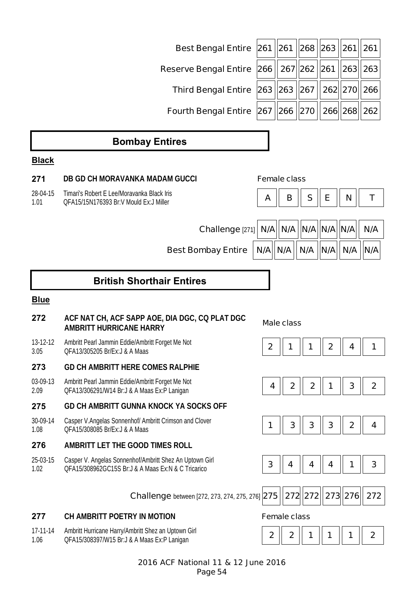| Best Bengal Entire 261 261 268 263 261 261    |  |  |  |
|-----------------------------------------------|--|--|--|
| Reserve Bengal Entire 266 267 262 261 263 263 |  |  |  |
| Third Bengal Entire 263 263 267 262 270 266   |  |  |  |
| Fourth Bengal Entire 267 266 270 266 268 262  |  |  |  |

# **Bombay Entires**

# **Black**

| 271              | DB GD CH MORAVANKA MADAM GUCCI                                                                                |                  | <b>Female class</b>     |              |                |              |              |
|------------------|---------------------------------------------------------------------------------------------------------------|------------------|-------------------------|--------------|----------------|--------------|--------------|
| 28-04-15<br>1.01 | Timari's Robert E Lee/Moravanka Black Iris<br>OFA15/15N176393 Br:V Mould Ex:J Miller                          | A                | B                       | S            | E              | N            | T            |
|                  |                                                                                                               |                  |                         |              |                |              |              |
|                  | Challenge [271]                                                                                               | N/A              | $ N/A $ $ N/A $ $ N/A $ |              |                | N/A          | N/A          |
|                  | <b>Best Bombay Entire</b>                                                                                     | N/A              | N/A                     | N/A          | N/A            | N/A          | N/A          |
|                  | <b>British Shorthair Entires</b>                                                                              |                  |                         |              |                |              |              |
| <b>Blue</b>      |                                                                                                               |                  |                         |              |                |              |              |
| 272              | ACF NAT CH, ACF SAPP AOE, DIA DGC, CQ PLAT DGC<br><b>AMBRITT HURRICANE HARRY</b>                              |                  | <b>Male class</b>       |              |                |              |              |
| 13-12-12<br>3.05 | Ambritt Pearl Jammin Eddie/Ambritt Forget Me Not<br>QFA13/305205 Br/Ex: J & A Maas                            | $\boldsymbol{2}$ |                         |              | $\overline{2}$ | 4            | 1            |
| 273              | <b>GD CH AMBRITT HERE COMES RALPHIE</b>                                                                       |                  |                         |              |                |              |              |
| 03-09-13<br>2.09 | Ambritt Pearl Jammin Eddie/Ambritt Forget Me Not<br>QFA13/306291/W14 Br: J & A Maas Ex: P Lanigan             | 4                | $\overline{2}$          | $\mathbf{2}$ | 1              | 3            | $\mathbf{2}$ |
| 275              | <b>GD CH AMBRITT GUNNA KNOCK YA SOCKS OFF</b>                                                                 |                  |                         |              |                |              |              |
| 30-09-14<br>1.08 | Casper V.Angelas Sonnenhof/ Ambritt Crimson and Clover<br>OFA15/308085 Br/Ex: J & A Maas                      | 1                | 3                       | 3            | $\mathbf{3}$   | $\mathbf{2}$ | 4            |
| 276              | AMBRITT LET THE GOOD TIMES ROLL                                                                               |                  |                         |              |                |              |              |
| 25-03-15<br>1.02 | Casper V. Angelas Sonnenhof/Ambritt Shez An Uptown Girl<br>QFA15/308962GC15S Br:J & A Maas Ex:N & C Tricarico | $\mathbf{3}$     | 4                       | 4            | 4              | 1            | 3            |
|                  | <b>Challenge</b> between [272, 273, 274, 275, 276] 275                                                        |                  |                         | 272 272      |                | 273 276      | 272          |
| 277              | CH AMBRITT POETRY IN MOTION                                                                                   |                  | <b>Female class</b>     |              |                |              |              |

17-11-14 1.06 Ambritt Hurricane Harry/Ambritt Shez an Uptown Girl Ambritt Hurricane Harry/Ambritt Shez an Uptown Girl<br>QFA15/308397/W15 Br:J & A Maas Ex:P Lanigan **2 2 2 2 2 2 1 1 1 1 1 1 2**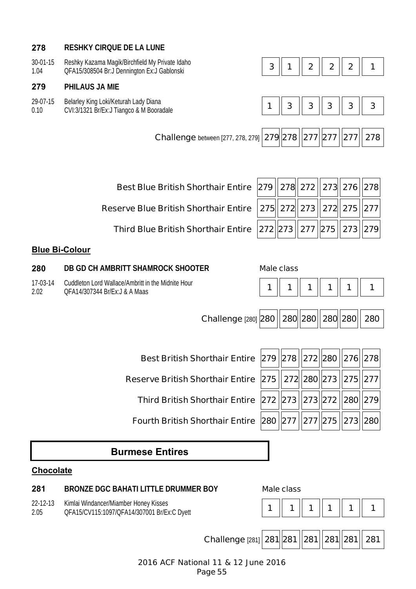# **278 RESHKY CIRQUE DE LA LUNE**

| $30 - 01 - 1$ | ı Magik/Birchfield Mv Private I<br>Idaho<br>Reshky Kazama |  |  |  |
|---------------|-----------------------------------------------------------|--|--|--|
| 1.04          | OFA15/308504 Br.<br>Gablonski<br>Denninaton Ex:J          |  |  |  |

## **279 PHILAUS JA MIE**

29-07-15 0.10 Belarley King Loki/Keturah Lady Diana

CVI:3/1321 Br/Ex:J Tiangco & M Booradale **1 3 3 3 3 3**

**Challenge** between [277, 278, 279] **279 278 277 277 277 278** 

| Best Blue British Shorthair Entire $\ 279\ 278\ 272\ 273\ 276\ 278$ |  |  |  |
|---------------------------------------------------------------------|--|--|--|
|                                                                     |  |  |  |

**Reserve Blue British Shorthair Entire** 

**Third Blue British Shorthair Entire** 

# **Blue Bi-Colour**

**280 DB GD CH AMBRITT SHAMROCK SHOOTER Male class**

17-03-14 2.02 Cuddleton Lord Wallace/Ambritt in the Midnite Hour QFA14/307344 Br/Ex:J & A Maas **1 1 1 1 1 1**

|  |  | 275  272  273   272  275   277  |  |
|--|--|---------------------------------|--|
|  |  | 272 273   277   275   273   279 |  |
|  |  |                                 |  |

| Challenge [280] 280 280 280 280 280 280 |  |  |  |  |  |  |
|-----------------------------------------|--|--|--|--|--|--|
|-----------------------------------------|--|--|--|--|--|--|

**Best British Shorthair Entire** 

**Reserve British Shorthair Entire** 

**Third British Shorthair Entire** 

**Fourth British Shorthair Entire 2** 

| 279   278   272   280   276   278 |  |  |
|-----------------------------------|--|--|
| 275    272  280   273   275   277 |  |  |
| ?72   273   273   272   280   279 |  |  |
| 280 277 277 275 273 280           |  |  |

# **Burmese Entires**

# **Chocolate**

# **281 BRONZE DGC BAHATI LITTLE DRUMMER BOY Male class**

22-12-13 Kimlai Windancer/Miamber Honey Kisses

2.05





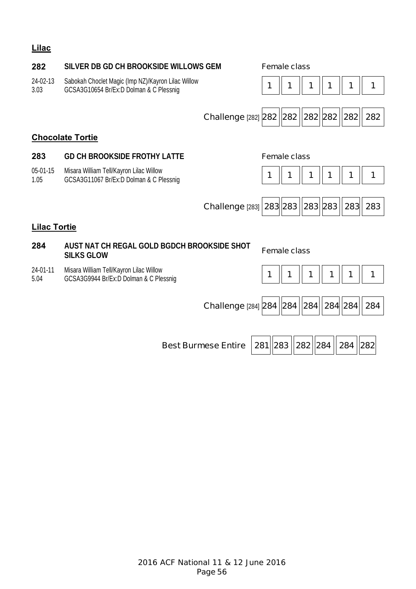# **Lilac**

# **282 SILVER DB GD CH BROOKSIDE WILLOWS GEM Female class**

24-02-13 3.03 Sabokah Choclet Magic (Imp NZ)/Kayron Lilac Willow GCSA3G10654 Br/Ex:D Dolman & C Plessnig **1 1 1 1 1 1**



| Challenge [282] 282 282 282 282 282 282 |  |  |  |  |  |  |
|-----------------------------------------|--|--|--|--|--|--|
|-----------------------------------------|--|--|--|--|--|--|

## **Chocolate Tortie**

## **283 GD CH BROOKSIDE FROTHY LATTE Female class**

05-01-15 1.05 Misara William Tell/Kayron Lilac Willow





## **Lilac Tortie**

# **284 AUST NAT CH REGAL GOLD BGDCH BROOKSIDE SHOT SILKS GLOW Female class**

24-01-11 5.04 Misara William Tell/Kayron Lilac Willow GCSA3G9944 Br/Ex:D Dolman & C Plessnig

|--|

Challenge [284] 284 | 284 | 284 | 284 | 284 | 284

**Best Burmese Entire 281 283 282 284 284 282**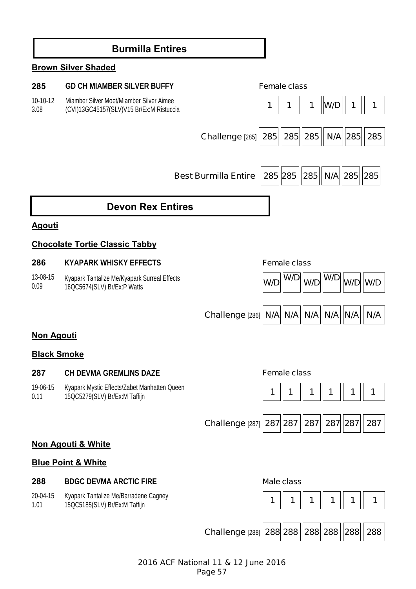# **Burmilla Entires**

# **Brown Silver Shaded**

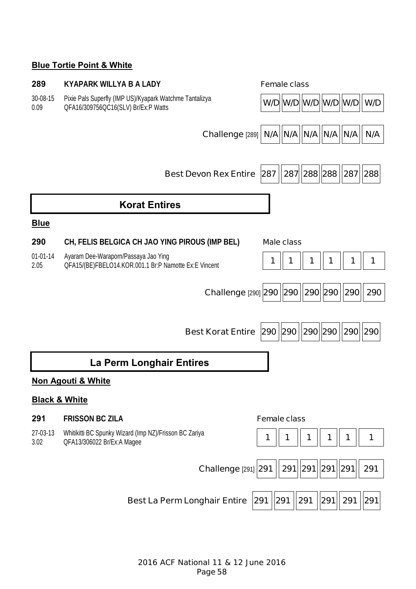# **Blue Tortie Point & White**

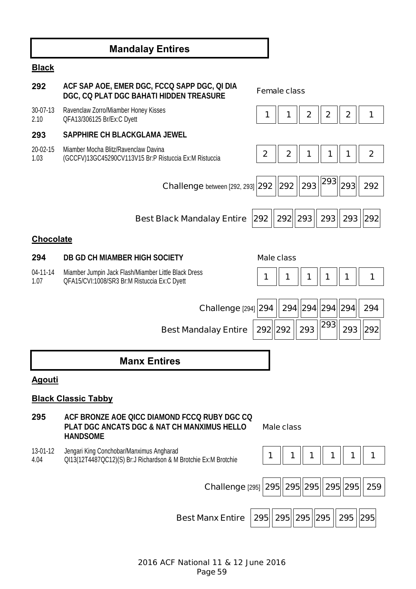# **Mandalay Entires**

# **Black**

| 292              | ACF SAP AOE, EMER DGC, FCCQ SAPP DGC, QI DIA<br>DGC, CQ PLAT DGC BAHATI HIDDEN TREASURE                                   |                  | <b>Female class</b> |                |              |             |             |
|------------------|---------------------------------------------------------------------------------------------------------------------------|------------------|---------------------|----------------|--------------|-------------|-------------|
| 30-07-13<br>2.10 | Ravenclaw Zorro/Miamber Honey Kisses<br>QFA13/306125 Br/Ex:C Dyett                                                        | 1                | 1                   | $\overline{2}$ | $\mathbf{2}$ | $\mathbf 2$ | 1           |
| 293              | <b>SAPPHIRE CH BLACKGLAMA JEWEL</b>                                                                                       |                  |                     |                |              |             |             |
| 20-02-15<br>1.03 | Miamber Mocha Blitz/Ravenclaw Davina<br>(GCCFV)13GC45290CV113V15 Br:P Ristuccia Ex:M Ristuccia                            | $\boldsymbol{2}$ | $\mathbf{2}$        | 1              | 1            |             | $\mathbf 2$ |
|                  | <b>Challenge</b> between [292, 293] 292  292                                                                              |                  |                     | 293            | 293          | 293         | 292         |
|                  | <b>Best Black Mandalay Entire</b>                                                                                         | 292              | $292$   293         |                | 293          | 293         | 292         |
| <b>Chocolate</b> |                                                                                                                           |                  |                     |                |              |             |             |
| 294              | DB GD CH MIAMBER HIGH SOCIETY                                                                                             |                  | <b>Male class</b>   |                |              |             |             |
| 04-11-14<br>1.07 | Miamber Jumpin Jack Flash/Miamber Little Black Dress<br>QFA15/CVI:1008/SR3 Br:M Ristuccia Ex:C Dyett                      |                  | 1                   | 1              | 1            | 1           | 1           |
|                  |                                                                                                                           |                  |                     |                |              | 294         | 294         |
|                  | <b>Challenge [294] 294</b>                                                                                                |                  | 294                 | 294            | 294          |             |             |
|                  | <b>Best Mandalay Entire</b>                                                                                               | 292 292          |                     | 293            | 293          | 293         | 292         |
|                  | <b>Manx Entires</b>                                                                                                       |                  |                     |                |              |             |             |
| <u>Agouti</u>    |                                                                                                                           |                  |                     |                |              |             |             |
|                  | <b>Black Classic Tabby</b>                                                                                                |                  |                     |                |              |             |             |
| 295              | ACF BRONZE AOE QICC DIAMOND FCCQ RUBY DGC CQ<br><b>PLAT DGC ANCATS DGC &amp; NAT CH MANXIMUS HELLO</b><br><b>HANDSOME</b> |                  | <b>Male class</b>   |                |              |             |             |
| 13-01-12<br>4.04 | Jengari King Conchobar/Manximus Angharad<br>QI13(12T4487QC12)(S) Br:J Richardson & M Brotchie Ex:M Brotchie               | 1                |                     |                | 1            | 1           | 1           |
|                  | Challenge [295] 295 295 295 295 295 295                                                                                   |                  |                     |                |              |             | 259         |
|                  | <b>Best Manx Entire</b>                                                                                                   | 295              | 295                 | $ 295 $ 295    |              | 295         | 295         |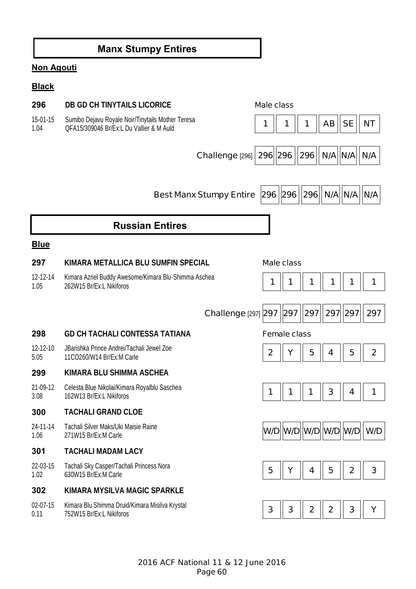# **Manx Stumpy Entires**

# **Non Agouti**

# **Black**

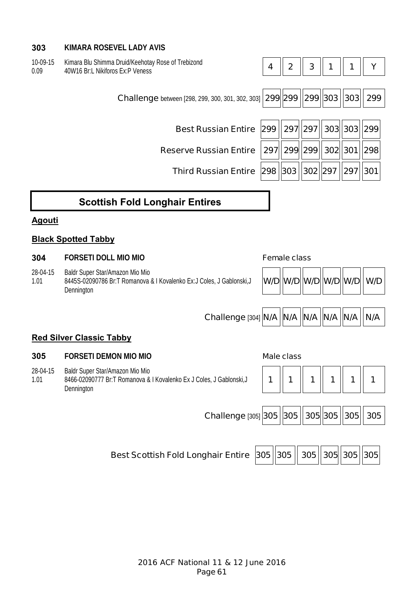# **303 KIMARA ROSEVEL LADY AVIS**

| 10-09-15 | Kimara Blu Shimma Druid/Keehotay Rose of Trebizond |
|----------|----------------------------------------------------|
| 0.09     | 40W16 Br:L Nikiforos Ex:P Veness                   |

| Nillala Diu Jillillila Diulu/Necliulay Nuse Ul Tiedizuliu<br>40W16 Br:L Nikiforos Ex:P Veness | 4 | $\mathbf{2}$  | 3 <sup>1</sup> | $\mathbf 1$ | 1                    |     |
|-----------------------------------------------------------------------------------------------|---|---------------|----------------|-------------|----------------------|-----|
| Challenge between [298, 299, 300, 301, 302, 303] 299 299 299 303 303                          |   |               |                |             |                      | 299 |
| Best Russian Entire 299 297 297 303 303 299                                                   |   |               |                |             |                      |     |
| <b>Reserve Russian Entire</b>                                                                 |   | 297  299  299 |                |             | 302  301  298        |     |
| <b>Third Russian Entire 298</b>                                                               |   | 303           |                |             | 302  297   297   301 |     |
|                                                                                               |   |               |                |             |                      |     |

 $\overline{\phantom{0}}$ 

# **Scottish Fold Longhair Entires**

# **Agouti**

# **Black Spotted Tabby**

### **304 FORSETI DOLL MIO MIO Female class**

28-04-15 Baldr Super Star/Amazon Mio Mio

1.01 8445S-02090786 Br:T Romanova & I Kovalenko Ex:J Coles, J Gablonski,J Dennington



 $\overline{\phantom{a}}$ 

**Challenge** [304] **N/A | N/A | N/A | N/A | N/A | N/A** 



# **Red Silver Classic Tabby**

## **305 FORSETI DEMON MIO MIO Male class**

28-04-15 1.01 Baldr Super Star/Amazon Mio Mio 8466-02090777 Br:T Romanova & I Kovalenko Ex J Coles, J Gablonski,J Dennington



**Challenge [305] 305 | 305 | 305 | 305 | 305 | 305** 

**Best Scottish Fold Longhair Entire 305 305 | 305 | 305 | 305 | 305 | 305 | 305 | 305 | 305 | 305 | 305 | 305 | 305 | 305 | 305 | 305 | 305 | 305 | 305 | 305 | 305 | 305 | 305 | 305 | 305 | 305 | 305 | 305 | 305 | 305 | 30**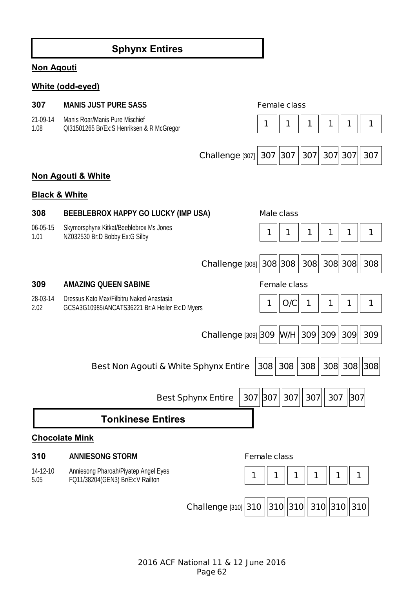# **Sphynx Entires**

# **Non Agouti**

# **White (odd-eyed)**

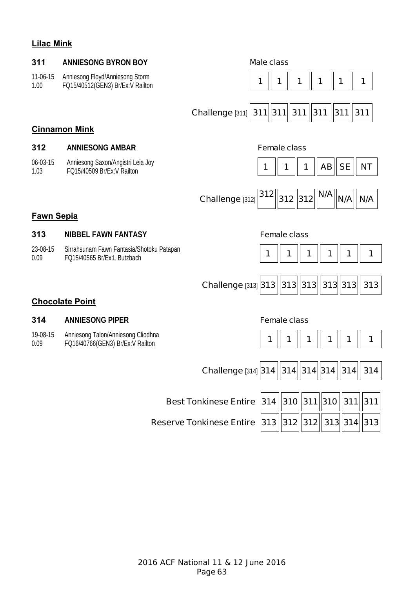# **Lilac Mink**

| 311<br>11-06-15   | <b>ANNIESONG BYRON BOY</b><br>Anniesong Floyd/Anniesong Storm            | <b>Male class</b>                                                  |
|-------------------|--------------------------------------------------------------------------|--------------------------------------------------------------------|
| 1.00              | FQ15/40512(GEN3) Br/Ex:V Railton                                         | 1<br>1<br>1<br>1<br>1<br>1                                         |
|                   |                                                                          | Challenge [311] 311 311 311 311<br>311<br>311                      |
|                   | <b>Cinnamon Mink</b>                                                     |                                                                    |
| 312               | <b>ANNIESONG AMBAR</b>                                                   | <b>Female class</b>                                                |
| 06-03-15<br>1.03  | Anniesong Saxon/Angistri Leia Joy<br>FQ15/40509 Br/Ex:V Railton          | <b>SE</b><br><b>NT</b><br>AB<br>1<br>1<br>1                        |
|                   |                                                                          | N/A<br>312<br>Challenge [312]<br> 312   312 <br>N/A<br>N/A         |
| <b>Fawn Sepia</b> |                                                                          |                                                                    |
| 313               | <b>NIBBEL FAWN FANTASY</b>                                               | <b>Female class</b>                                                |
| 23-08-15<br>0.09  | Sirrahsunam Fawn Fantasia/Shotoku Patapan<br>FQ15/40565 Br/Ex:L Butzbach | 1<br>1<br>1<br>1<br>1<br>1                                         |
|                   |                                                                          | 313  313  313  313 <br>313<br><b>Challenge [313] 313</b>           |
|                   | <b>Chocolate Point</b>                                                   |                                                                    |
| 314               | <b>ANNIESONG PIPER</b>                                                   | <b>Female class</b>                                                |
| 19-08-15<br>0.09  | Anniesong Talon/Anniesong Cliodhna<br>FQ16/40766(GEN3) Br/Ex:V Railton   | 1<br>1<br>1<br>1<br>1<br>1                                         |
|                   |                                                                          | 314  314  314  314 <br><b>Challenge [314] 314</b><br>314           |
|                   |                                                                          | 314   310   311   310   311   311 <br><b>Best Tonkinese Entire</b> |

**Reserve Tonkinese Entire 313 312 312 313 314 313**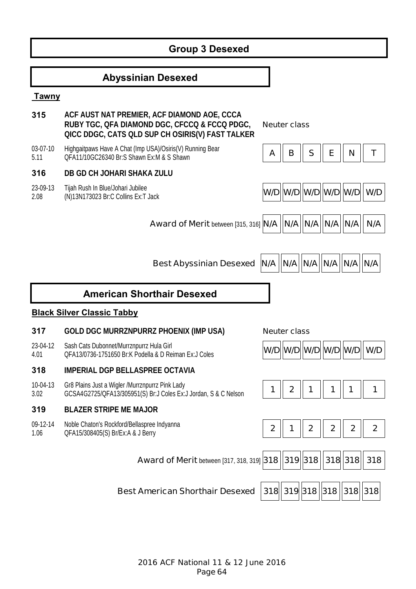# **Group 3 Desexed**

# **Abyssinian Desexed**

### **Tawny**

- **315 ACF AUST NAT PREMIER, ACF DIAMOND AOE, CCCA RUBY TGC, QFA DIAMOND DGC, CFCCQ & FCCQ PDGC, QICC DDGC, CATS QLD SUP CH OSIRIS(V) FAST TALKER**
- 03-07-10 5.11 Highgaitpaws Have A Chat (Imp USA)/Osiris(V) Running Bear

### **316 DB GD CH JOHARI SHAKA ZULU**

23-09-13 Tijah Rush In Blue/Johari Jubilee

**Black Silver Classic Tabby** 

23-04-12 4.01

10-04-13 3.02

09-12-14 1.06

2.08

**Neuter class**

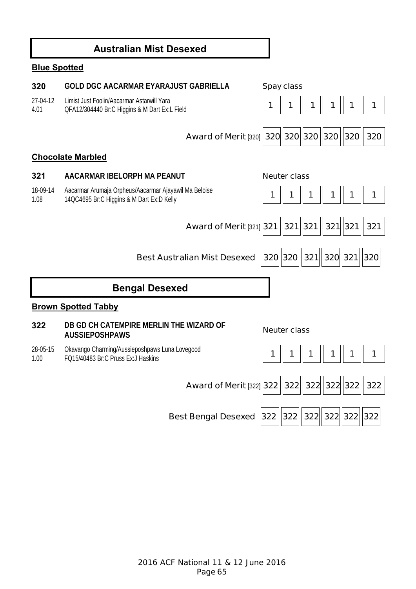# **Australian Mist Desexed**

# **Blue Spotted**

| 320              | <b>GOLD DGC AACARMAR EYARAJUST GABRIELLA</b>                                                       |     | <b>Spay class</b>   |     |             |               |     |
|------------------|----------------------------------------------------------------------------------------------------|-----|---------------------|-----|-------------|---------------|-----|
| 27-04-12<br>4.01 | Limist Just Foolin/Aacarmar Astarwill Yara<br>QFA12/304440 Br:C Higgins & M Dart Ex:L Field        | 1   | 1                   |     |             |               |     |
|                  | Award of Merit [320] 320 320 320 320 320                                                           |     |                     |     |             |               | 320 |
|                  | <b>Chocolate Marbled</b>                                                                           |     |                     |     |             |               |     |
| 321              | AACARMAR IBELORPH MA PEANUT                                                                        |     | <b>Neuter class</b> |     |             |               |     |
| 18-09-14<br>1.08 | Aacarmar Arumaja Orpheus/Aacarmar Ajayawil Ma Beloise<br>14QC4695 Br:C Higgins & M Dart Ex:D Kelly | 1   | 1                   | 1   | 1           | 1             | 1   |
|                  | Award of Merit [321] 321   321   321                                                               |     |                     |     |             | $321$   321   | 321 |
|                  | <b>Best Australian Mist Desexed</b>                                                                |     | 320 320             | 321 |             | 320 321 320   |     |
|                  | <b>Bengal Desexed</b>                                                                              |     |                     |     |             |               |     |
|                  | <b>Brown Spotted Tabby</b>                                                                         |     |                     |     |             |               |     |
| 322              | DB GD CH CATEMPIRE MERLIN THE WIZARD OF<br><b>AUSSIEPOSHPAWS</b>                                   |     | <b>Neuter class</b> |     |             |               |     |
| 28-05-15<br>1.00 | Okavango Charming/Aussieposhpaws Luna Lovegood<br>FQ15/40483 Br:C Pruss Ex:J Haskins               | 1   |                     | 1   | 1           |               | 1   |
|                  | <b>Award of Merit [322] 322</b>                                                                    |     | $322$               |     | 322 322 322 |               | 322 |
|                  | <b>Best Bengal Desexed</b>                                                                         | 322 | 322  322            |     |             | 322  322  322 |     |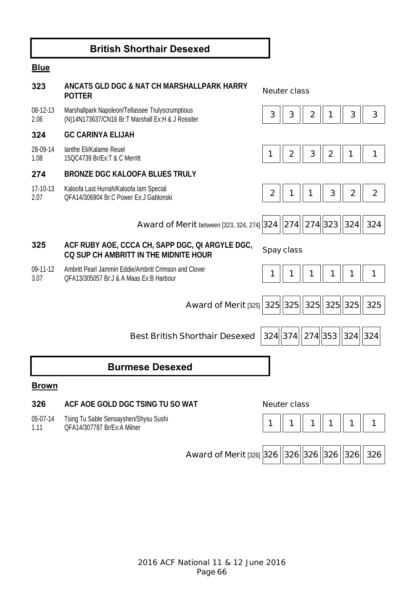# **British Shorthair Desexed**

# **Blue**

| 323              | ANCATS GLD DGC & NAT CH MARSHALLPARK HARRY<br><b>POTTER</b>                                           |                  | <b>Neuter class</b>       |                  |             |                  |                |
|------------------|-------------------------------------------------------------------------------------------------------|------------------|---------------------------|------------------|-------------|------------------|----------------|
| 08-12-13<br>2.06 | Marshallpark Napoleon/Tellassee Trulyscrumptious<br>(N)14N173637/CN16 Br:T Marshall Ex:H & J Rossiter | 3                | 3                         | $\boldsymbol{2}$ |             | 3                | 3              |
| 324              | <b>GC CARINYA ELIJAH</b>                                                                              |                  |                           |                  |             |                  |                |
| 28-09-14<br>1.08 | lanthe Eli/Kalame Reuel<br>15QC4739 Br/Ex:T & C Merritt                                               | 1                | $\boldsymbol{2}$          | 3                | $\mathbf 2$ |                  |                |
| 274              | <b>BRONZE DGC KALOOFA BLUES TRULY</b>                                                                 |                  |                           |                  |             |                  |                |
| 17-10-13<br>2.07 | Kaloofa Last Hurrah/Kaloofa lam Special<br>OFA14/306904 Br:C Power Ex:J Gablonski                     | $\boldsymbol{2}$ | 1                         | 1                | 3           | $\boldsymbol{2}$ | $\overline{2}$ |
|                  | <b>Award of Merit between [323, 324, 274] 324</b>                                                     |                  | 274   274   323           |                  |             | 324              | 324            |
| 325              | ACF RUBY AOE, CCCA CH, SAPP DGC, QI ARGYLE DGC,<br>CO SUP CH AMBRITT IN THE MIDNITE HOUR              |                  | <b>Spay class</b>         |                  |             |                  |                |
| 09-11-12<br>3.07 | Ambritt Pearl Jammin Eddie/Ambritt Crimson and Clover<br>OFA13/305057 Br: J & A Maas Ex: B Harbour    | 1                |                           |                  |             |                  | 1              |
|                  | <b>Award of Merit [325]</b>                                                                           |                  | 325  325   325   325  325 |                  |             |                  | 325            |
|                  | <b>Best British Shorthair Desexed</b>                                                                 |                  | 324 374                   | 274 353          |             | $ 324 $ 324      |                |
|                  | <b>Burmese Desexed</b>                                                                                |                  |                           |                  |             |                  |                |
| <b>Brown</b>     |                                                                                                       |                  |                           |                  |             |                  |                |
| 326              | ACF AOE GOLD DGC TSING TU SO WAT                                                                      |                  | <b>Neuter class</b>       |                  |             |                  |                |
| 05-07-14<br>1.11 | Tsing Tu Sable Sensayshen/Shysu Sushi<br>QFA14/307787 Br/Ex:A Milner                                  | 1                | 1                         | 1                |             | 1                | 1              |
|                  | Award of Merit [326] 326 326 326 326 326 326                                                          |                  |                           |                  |             |                  |                |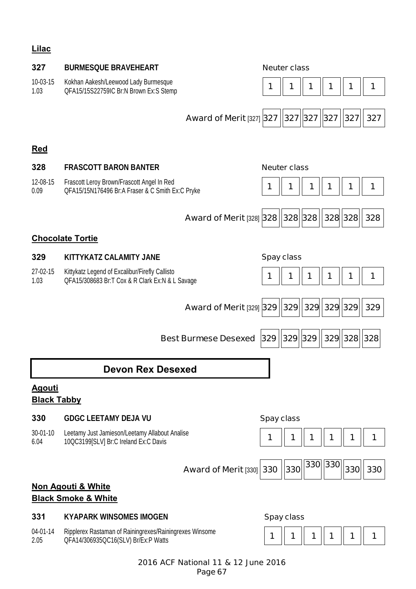# **Lilac**

| 327                                 | <b>BURMESQUE BRAVEHEART</b>                                                                       |                                            |                   | <b>Neuter class</b> |     |             |             |     |
|-------------------------------------|---------------------------------------------------------------------------------------------------|--------------------------------------------|-------------------|---------------------|-----|-------------|-------------|-----|
| 10-03-15<br>1.03                    | Kokhan Aakesh/Leewood Lady Burmesque<br>QFA15/15S22759IC Br:N Brown Ex:S Stemp                    |                                            | 1                 |                     |     |             | 1           | 1   |
|                                     |                                                                                                   | Award of Merit [327] 327   327   327   327 |                   |                     |     |             | 327         | 327 |
| <b>Red</b>                          |                                                                                                   |                                            |                   |                     |     |             |             |     |
| 328                                 | <b>FRASCOTT BARON BANTER</b>                                                                      |                                            |                   | <b>Neuter class</b> |     |             |             |     |
| 12-08-15<br>0.09                    | Frascott Leroy Brown/Frascott Angel In Red<br>QFA15/15N176496 Br:A Fraser & C Smith Ex:C Pryke    |                                            | 1                 | 1                   | 1   |             | 1           | 1   |
|                                     |                                                                                                   | <b>Award of Merit [328] 328</b>            |                   | $ 328 $ 328         |     | 328 328     |             | 328 |
|                                     | <b>Chocolate Tortie</b>                                                                           |                                            |                   |                     |     |             |             |     |
| 329                                 | KITTYKATZ CALAMITY JANE                                                                           |                                            |                   | <b>Spay class</b>   |     |             |             |     |
| 27-02-15<br>1.03                    | Kittykatz Legend of Excalibur/Firefly Callisto<br>QFA15/308683 Br:T Cox & R Clark Ex:N & L Savage |                                            | 1                 | 1                   | 1   | 1           | 1           | 1   |
|                                     |                                                                                                   | <b>Award of Merit [329] 329</b>            |                   | 329                 |     | 329 329 329 |             | 329 |
|                                     |                                                                                                   | <b>Best Burmese Desexed</b>                | 329               | 329 329             |     |             | 329 328 328 |     |
|                                     | Devon Rex Desexed                                                                                 |                                            |                   |                     |     |             |             |     |
| <u>Agouti</u><br><b>Black Tabby</b> |                                                                                                   |                                            |                   |                     |     |             |             |     |
| 330                                 | <b>GDGC LEETAMY DEJA VU</b>                                                                       |                                            | <b>Spay class</b> |                     |     |             |             |     |
| 30-01-10<br>6.04                    | Leetamy Just Jamieson/Leetamy Allabout Analise<br>10QC3199[SLV] Br:C Ireland Ex:C Davis           |                                            | 1                 | 1                   | 1   | 1           | 1           | 1   |
|                                     |                                                                                                   | <b>Award of Merit [330]</b>                | 330               | 330                 | 330 | 330         | 330         | 330 |
|                                     | <b>Non Agouti &amp; White</b>                                                                     |                                            |                   |                     |     |             |             |     |
|                                     | <b>Black Smoke &amp; White</b>                                                                    |                                            |                   |                     |     |             |             |     |
| 331                                 | <b>KYAPARK WINSOMES IMOGEN</b>                                                                    |                                            |                   | <b>Spay class</b>   |     |             |             |     |
| 04-01-14<br>2.05                    | Ripplerex Rastaman of Rainingrexes/Rainingrexes Winsome<br>QFA14/306935QC16(SLV) Br/Ex:P Watts    |                                            | 1                 | 1                   | 1   | 1           | 1           | 1   |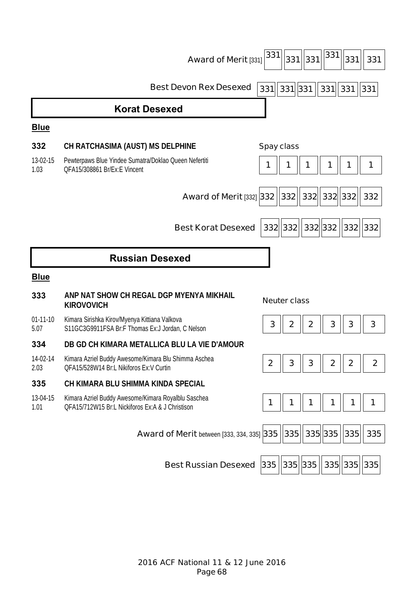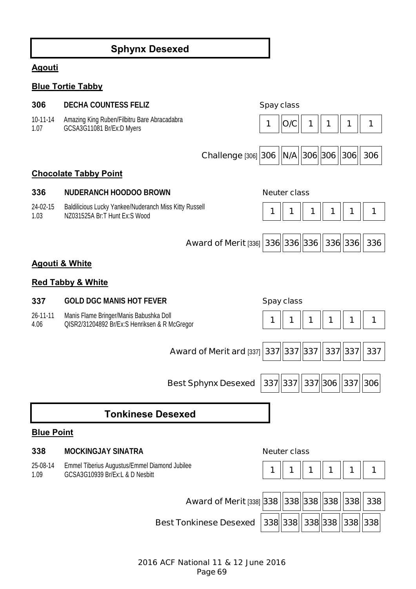# **Sphynx Desexed**

# **Agouti**

# **Blue Tortie Tabby**

| 306                       | <b>DECHA COUNTESS FELIZ</b>                                                              | <b>Spay class</b> |                     |   |         |           |     |
|---------------------------|------------------------------------------------------------------------------------------|-------------------|---------------------|---|---------|-----------|-----|
| 10-11-14<br>1.07          | Amazing King Ruben/Filbitru Bare Abracadabra<br>GCSA3G11081 Br/Ex:D Myers                |                   | O/C                 |   |         |           | 1   |
|                           | <b>Challenge [306] 306</b>                                                               |                   | $ N/A $ 306 306     |   |         | 306       | 306 |
|                           | <b>Chocolate Tabby Point</b>                                                             |                   |                     |   |         |           |     |
| 336                       | <b>NUDERANCH HOODOO BROWN</b>                                                            |                   | <b>Neuter class</b> |   |         |           |     |
| 24-02-15<br>1.03          | Baldilicious Lucky Yankee/Nuderanch Miss Kitty Russell<br>NZ031525A Br:T Hunt Ex:S Wood  | 1                 | 1                   | 1 | 1       | 1         | 1   |
|                           | Award of Merit [336] 336 336 336                                                         |                   |                     |   |         | 336 336   | 336 |
| <b>Agouti &amp; White</b> |                                                                                          |                   |                     |   |         |           |     |
|                           | <b>Red Tabby &amp; White</b>                                                             |                   |                     |   |         |           |     |
| 337                       | <b>GOLD DGC MANIS HOT FEVER</b>                                                          |                   | <b>Spay class</b>   |   |         |           |     |
| 26-11-11<br>4.06          | Manis Flame Bringer/Manis Babushka Doll<br>QISR2/31204892 Br/Ex:S Henriksen & R McGregor | 1                 | 1                   | 1 |         | 1         | 1   |
|                           | Award of Merit ard [337] 337 337 337                                                     |                   |                     |   |         | 337 337   | 337 |
|                           | <b>Best Sphynx Desexed</b>                                                               |                   | 337 337             |   | 337 306 | 337   306 |     |
|                           | <b>Tonkinese Desexed</b>                                                                 |                   |                     |   |         |           |     |
| <b>Blue Point</b>         |                                                                                          |                   |                     |   |         |           |     |
| 338                       | <b>MOCKINGJAY SINATRA</b>                                                                |                   | <b>Neuter class</b> |   |         |           |     |
| 25-08-14<br>1.09          | Emmel Tiberius Augustus/Emmel Diamond Jubilee<br>GCSA3G10939 Br/Ex:L & D Nesbitt         | 1                 | 1                   | 1 |         |           | 1   |
|                           | Award of Merit [338] 338   338   338   338   338                                         |                   |                     |   |         |           | 338 |
|                           |                                                                                          |                   |                     |   |         |           |     |

**Best Tonkinese Desexed |338||338||338||338||338|**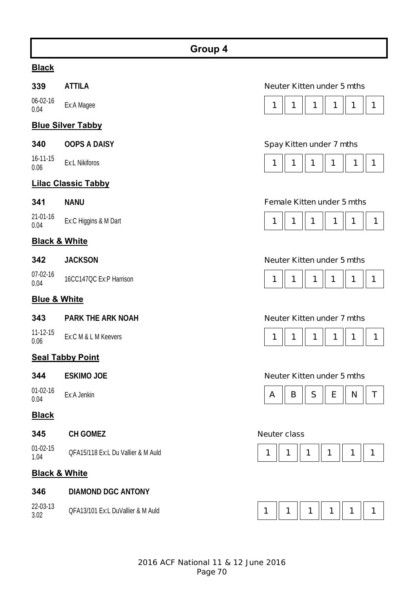# **Black**

06-02-16

# **Blue Silver Tabby**

| 340 | <b>OOPS A DAISY</b> |  |
|-----|---------------------|--|
|     |                     |  |

# **Lilac Classic Tabby**

21-01-16

# **Black & White**

| 342 | <b>JACKSON</b> |  |
|-----|----------------|--|
|     |                |  |

07-02-16

# **Blue & White**

**343 PARK THE ARK NOAH Neuter Kitten under 7 mths**

11-12-15

# **Seal Tabby Point**

01-02-16

# **Black**

22-03-13

| <b>CH GOMEZ</b><br>345 |  |
|------------------------|--|
|------------------------|--|

01-02-15

# **Black & White**

|  | 346 |  | <b>DIAMOND DGC ANTONY</b> |
|--|-----|--|---------------------------|
|--|-----|--|---------------------------|

| 22-03-13 | QFA13/101 Ex:L DuVallier & M Auld |  |  |
|----------|-----------------------------------|--|--|
| 3.02     |                                   |  |  |

# **339 ATTILA Neuter Kitten under 5 mths**



# **Spay Kitten under 7 mths**

# **341 NANU Female Kitten under 5 mths**



# **Neuter Kitten under 5 mths**





# **344 ESKIMO JOE Neuter Kitten under 5 mths**



# **Neuter class**



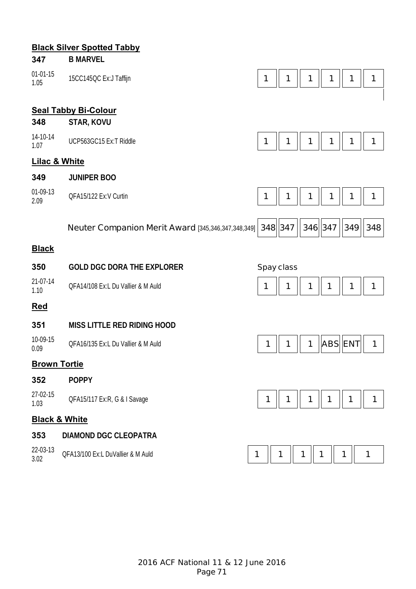# **Black Silver Spotted Tabby**

| 347                      | <b>B MARVEL</b>                                    |            |         |   |         |                |     |
|--------------------------|----------------------------------------------------|------------|---------|---|---------|----------------|-----|
| $01 - 01 - 15$<br>1.05   | 15CC145QC Ex:J Taffijn                             | 1          | 1       | 1 | 1       | 1              | 1   |
|                          |                                                    |            |         |   |         |                |     |
| 348                      | <b>Seal Tabby Bi-Colour</b>                        |            |         |   |         |                |     |
|                          | STAR, KOVU                                         |            |         |   |         |                |     |
| 14-10-14<br>1.07         | UCP563GC15 Ex:T Riddle                             | 1          | 1       |   | 1       | 1              | 1   |
| <b>Lilac &amp; White</b> |                                                    |            |         |   |         |                |     |
| 349                      | <b>JUNIPER BOO</b>                                 |            |         |   |         |                |     |
| 01-09-13<br>2.09         | QFA15/122 Ex:V Curtin                              | 1          | 1       | 1 | 1       | 1              | 1   |
|                          |                                                    |            |         |   |         |                |     |
|                          | Neuter Companion Merit Award [345,346,347,348,349] |            | 348 347 |   | 346 347 | 349            | 348 |
| <b>Black</b>             |                                                    |            |         |   |         |                |     |
| 350                      | <b>GOLD DGC DORA THE EXPLORER</b>                  | Spay class |         |   |         |                |     |
|                          |                                                    |            |         |   |         |                |     |
| 21-07-14<br>1.10         | QFA14/108 Ex:L Du Vallier & M Auld                 | 1          | 1       | 1 | 1       | 1              | 1   |
| <b>Red</b>               |                                                    |            |         |   |         |                |     |
| 351                      | <b>MISS LITTLE RED RIDING HOOD</b>                 |            |         |   |         |                |     |
| 10-09-15<br>0.09         | QFA16/135 Ex:L Du Vallier & M Auld                 | 1          | 1       | 1 |         | <b>ABS ENT</b> | 1   |
| <b>Brown Tortie</b>      |                                                    |            |         |   |         |                |     |
| 352                      | <b>POPPY</b>                                       |            |         |   |         |                |     |
| 27-02-15<br>1.03         | QFA15/117 Ex:R, G & I Savage                       | 1          | 1       | 1 | 1       | 1              | 1   |
| <b>Black &amp; White</b> |                                                    |            |         |   |         |                |     |
| 353                      | <b>DIAMOND DGC CLEOPATRA</b>                       |            |         |   |         |                |     |